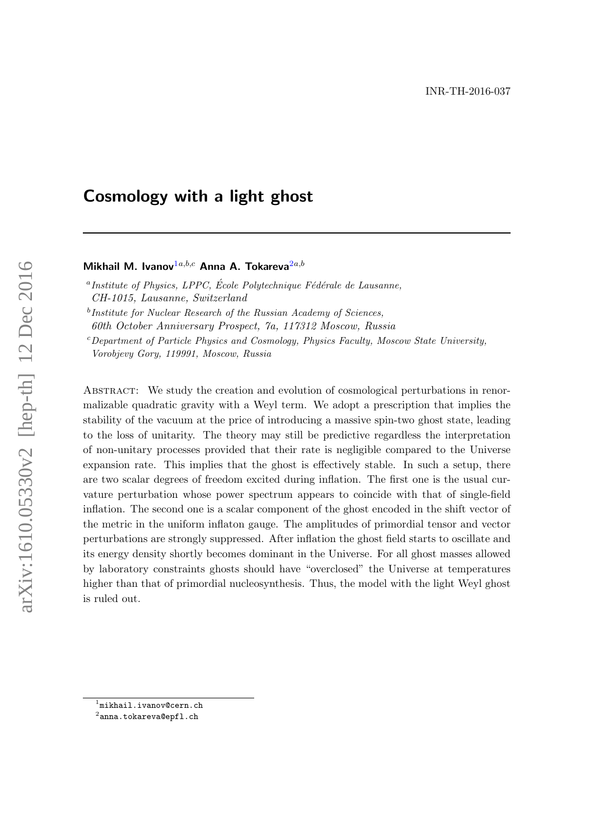# Cosmology with a light ghost

Mikhail M. Ivanov $1a,b,c$  $1a,b,c$  Anna A. Tokareva $2a,b$  $2a,b$ 

<sup>a</sup> Institute of Physics, LPPC, École Polytechnique Fédérale de Lausanne, CH-1015, Lausanne, Switzerland

<sup>b</sup>Institute for Nuclear Research of the Russian Academy of Sciences, 60th October Anniversary Prospect, 7a, 117312 Moscow, Russia

 $c$ Department of Particle Physics and Cosmology, Physics Faculty, Moscow State University, Vorobjevy Gory, 119991, Moscow, Russia

Abstract: We study the creation and evolution of cosmological perturbations in renormalizable quadratic gravity with a Weyl term. We adopt a prescription that implies the stability of the vacuum at the price of introducing a massive spin-two ghost state, leading to the loss of unitarity. The theory may still be predictive regardless the interpretation of non-unitary processes provided that their rate is negligible compared to the Universe expansion rate. This implies that the ghost is effectively stable. In such a setup, there are two scalar degrees of freedom excited during inflation. The first one is the usual curvature perturbation whose power spectrum appears to coincide with that of single-field inflation. The second one is a scalar component of the ghost encoded in the shift vector of the metric in the uniform inflaton gauge. The amplitudes of primordial tensor and vector perturbations are strongly suppressed. After inflation the ghost field starts to oscillate and its energy density shortly becomes dominant in the Universe. For all ghost masses allowed by laboratory constraints ghosts should have "overclosed" the Universe at temperatures higher than that of primordial nucleosynthesis. Thus, the model with the light Weyl ghost is ruled out.

<span id="page-0-1"></span><span id="page-0-0"></span> $^2$ anna.tokareva@epfl.ch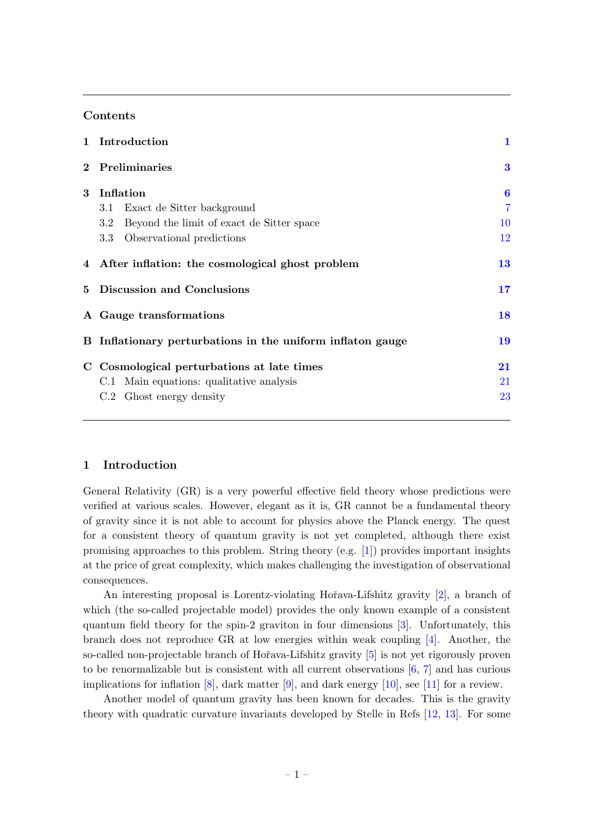# Contents

|             | 1 Introduction                                             | $\mathbf{1}$   |
|-------------|------------------------------------------------------------|----------------|
| $2^{\circ}$ | Preliminaries                                              | $\bf{3}$       |
| 3           | Inflation                                                  | 6              |
|             | Exact de Sitter background<br>3.1                          | $\overline{7}$ |
|             | Beyond the limit of exact de Sitter space<br>$3.2\,$       | 10             |
|             | Observational predictions<br>$3.3\,$                       | 12             |
|             | 4 After inflation: the cosmological ghost problem          | 13             |
| 5           | Discussion and Conclusions                                 | 17             |
|             | A Gauge transformations                                    | 18             |
|             | B Inflationary perturbations in the uniform inflaton gauge | 19             |
|             | C Cosmological perturbations at late times                 | 21             |
|             | C.1 Main equations: qualitative analysis                   | 21             |
|             | C.2 Ghost energy density                                   | 23             |

# <span id="page-1-0"></span>1 Introduction

General Relativity (GR) is a very powerful effective field theory whose predictions were verified at various scales. However, elegant as it is, GR cannot be a fundamental theory of gravity since it is not able to account for physics above the Planck energy. The quest for a consistent theory of quantum gravity is not yet completed, although there exist promising approaches to this problem. String theory (e.g.  $[1]$ ) provides important insights at the price of great complexity, which makes challenging the investigation of observational consequences.

An interesting proposal is Lorentz-violating Hořava-Lifshitz gravity [\[2\]](#page-25-1), a branch of which (the so-called projectable model) provides the only known example of a consistent quantum field theory for the spin-2 graviton in four dimensions [\[3\]](#page-25-2). Unfortunately, this branch does not reproduce GR at low energies within weak coupling [\[4\]](#page-25-3). Another, the so-called non-projectable branch of Hořava-Lifshitz gravity [\[5\]](#page-25-4) is not yet rigorously proven to be renormalizable but is consistent with all current observations  $[6, 7]$  $[6, 7]$  and has curious implications for inflation [\[8\]](#page-25-7), dark matter [\[9\]](#page-25-8), and dark energy [\[10\]](#page-25-9), see [\[11\]](#page-25-10) for a review.

Another model of quantum gravity has been known for decades. This is the gravity theory with quadratic curvature invariants developed by Stelle in Refs [\[12,](#page-25-11) [13\]](#page-25-12). For some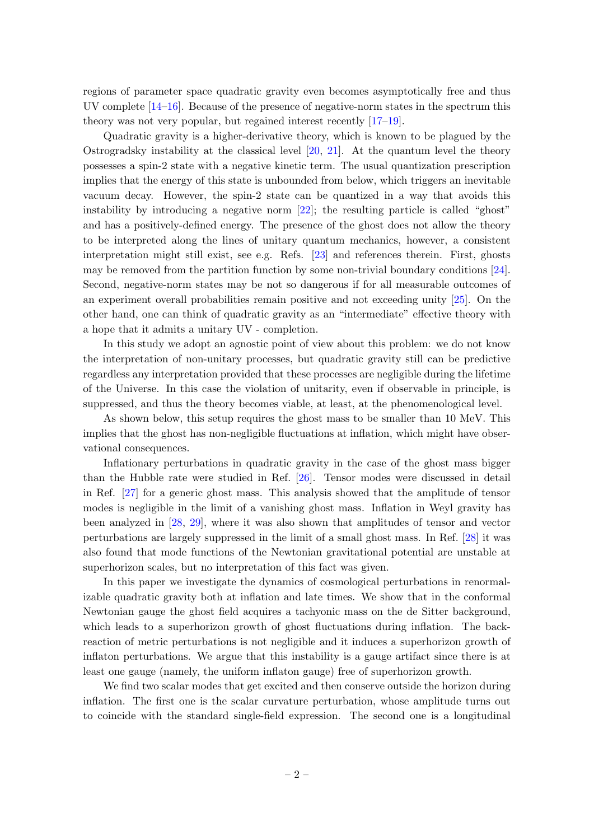regions of parameter space quadratic gravity even becomes asymptotically free and thus UV complete [\[14–](#page-25-13)[16\]](#page-25-14). Because of the presence of negative-norm states in the spectrum this theory was not very popular, but regained interest recently [\[17–](#page-25-15)[19\]](#page-25-16).

Quadratic gravity is a higher-derivative theory, which is known to be plagued by the Ostrogradsky instability at the classical level  $[20, 21]$  $[20, 21]$ . At the quantum level the theory possesses a spin-2 state with a negative kinetic term. The usual quantization prescription implies that the energy of this state is unbounded from below, which triggers an inevitable vacuum decay. However, the spin-2 state can be quantized in a way that avoids this instability by introducing a negative norm [\[22\]](#page-25-19); the resulting particle is called "ghost" and has a positively-defined energy. The presence of the ghost does not allow the theory to be interpreted along the lines of unitary quantum mechanics, however, a consistent interpretation might still exist, see e.g. Refs. [\[23\]](#page-25-20) and references therein. First, ghosts may be removed from the partition function by some non-trivial boundary conditions [\[24\]](#page-25-21). Second, negative-norm states may be not so dangerous if for all measurable outcomes of an experiment overall probabilities remain positive and not exceeding unity [\[25\]](#page-25-22). On the other hand, one can think of quadratic gravity as an "intermediate" effective theory with a hope that it admits a unitary UV - completion.

In this study we adopt an agnostic point of view about this problem: we do not know the interpretation of non-unitary processes, but quadratic gravity still can be predictive regardless any interpretation provided that these processes are negligible during the lifetime of the Universe. In this case the violation of unitarity, even if observable in principle, is suppressed, and thus the theory becomes viable, at least, at the phenomenological level.

As shown below, this setup requires the ghost mass to be smaller than 10 MeV. This implies that the ghost has non-negligible fluctuations at inflation, which might have observational consequences.

Inflationary perturbations in quadratic gravity in the case of the ghost mass bigger than the Hubble rate were studied in Ref. [\[26\]](#page-25-23). Tensor modes were discussed in detail in Ref. [\[27\]](#page-25-24) for a generic ghost mass. This analysis showed that the amplitude of tensor modes is negligible in the limit of a vanishing ghost mass. Inflation in Weyl gravity has been analyzed in [\[28,](#page-25-25) [29\]](#page-26-0), where it was also shown that amplitudes of tensor and vector perturbations are largely suppressed in the limit of a small ghost mass. In Ref. [\[28\]](#page-25-25) it was also found that mode functions of the Newtonian gravitational potential are unstable at superhorizon scales, but no interpretation of this fact was given.

In this paper we investigate the dynamics of cosmological perturbations in renormalizable quadratic gravity both at inflation and late times. We show that in the conformal Newtonian gauge the ghost field acquires a tachyonic mass on the de Sitter background, which leads to a superhorizon growth of ghost fluctuations during inflation. The backreaction of metric perturbations is not negligible and it induces a superhorizon growth of inflaton perturbations. We argue that this instability is a gauge artifact since there is at least one gauge (namely, the uniform inflaton gauge) free of superhorizon growth.

We find two scalar modes that get excited and then conserve outside the horizon during inflation. The first one is the scalar curvature perturbation, whose amplitude turns out to coincide with the standard single-field expression. The second one is a longitudinal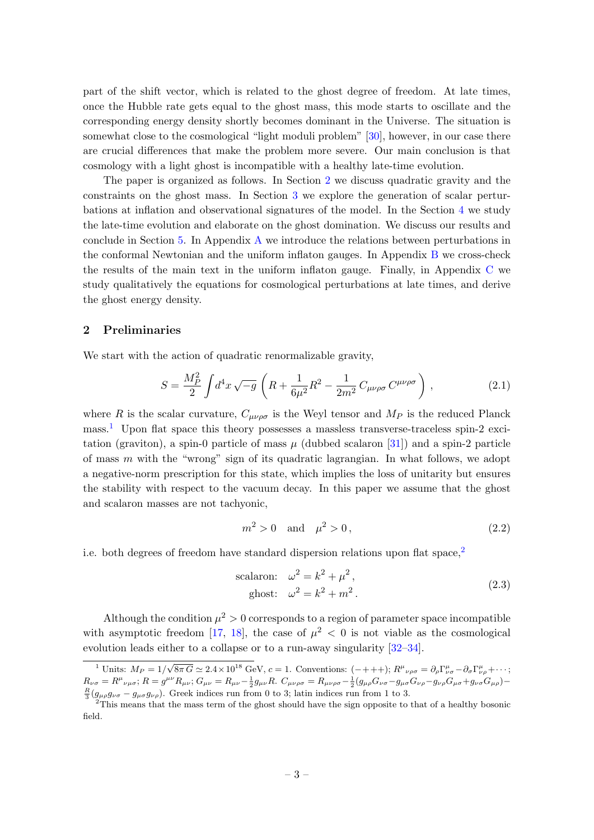part of the shift vector, which is related to the ghost degree of freedom. At late times, once the Hubble rate gets equal to the ghost mass, this mode starts to oscillate and the corresponding energy density shortly becomes dominant in the Universe. The situation is somewhat close to the cosmological "light moduli problem" [\[30\]](#page-26-1), however, in our case there are crucial differences that make the problem more severe. Our main conclusion is that cosmology with a light ghost is incompatible with a healthy late-time evolution.

The paper is organized as follows. In Section [2](#page-3-0) we discuss quadratic gravity and the constraints on the ghost mass. In Section [3](#page-6-0) we explore the generation of scalar perturbations at inflation and observational signatures of the model. In the Section [4](#page-13-0) we study the late-time evolution and elaborate on the ghost domination. We discuss our results and conclude in Section [5.](#page-17-0) In Appendix [A](#page-18-0) we introduce the relations between perturbations in the conformal Newtonian and the uniform inflaton gauges. In Appendix [B](#page-19-0) we cross-check the results of the main text in the uniform inflaton gauge. Finally, in Appendix [C](#page-21-0) we study qualitatively the equations for cosmological perturbations at late times, and derive the ghost energy density.

## <span id="page-3-0"></span>2 Preliminaries

We start with the action of quadratic renormalizable gravity,

<span id="page-3-3"></span>
$$
S = \frac{M_P^2}{2} \int d^4x \sqrt{-g} \left( R + \frac{1}{6\mu^2} R^2 - \frac{1}{2m^2} C_{\mu\nu\rho\sigma} C^{\mu\nu\rho\sigma} \right) , \qquad (2.1)
$$

where R is the scalar curvature,  $C_{\mu\nu\rho\sigma}$  is the Weyl tensor and  $M_P$  is the reduced Planck mass.[1](#page-3-1) Upon flat space this theory possesses a massless transverse-traceless spin-2 excitation (graviton), a spin-0 particle of mass  $\mu$  (dubbed scalaron [\[31\]](#page-26-2)) and a spin-2 particle of mass  $m$  with the "wrong" sign of its quadratic lagrangian. In what follows, we adopt a negative-norm prescription for this state, which implies the loss of unitarity but ensures the stability with respect to the vacuum decay. In this paper we assume that the ghost and scalaron masses are not tachyonic,

$$
m^2 > 0
$$
 and  $\mu^2 > 0$ , (2.2)

i.e. both degrees of freedom have standard dispersion relations upon flat space,<sup>[2](#page-3-2)</sup>

scalaron: 
$$
\omega^2 = k^2 + \mu^2,
$$
ghost: 
$$
\omega^2 = k^2 + m^2.
$$
 (2.3)

Although the condition  $\mu^2 > 0$  corresponds to a region of parameter space incompatible with asymptotic freedom [\[17,](#page-25-15) [18\]](#page-25-26), the case of  $\mu^2 < 0$  is not viable as the cosmological evolution leads either to a collapse or to a run-away singularity [\[32–](#page-26-3)[34\]](#page-26-4).

<span id="page-3-1"></span><sup>&</sup>lt;sup>1</sup> Units:  $M_P = 1/\sqrt{8\pi G} \simeq 2.4 \times 10^{18} \text{ GeV}, c = 1$ . Conventions:  $(- + + +); R^{\mu}{}_{\nu\rho\sigma} = \partial_{\rho} \Gamma^{\mu}_{\nu\sigma} - \partial_{\sigma} \Gamma^{\mu}_{\nu\rho} + \cdots;$  $R_{\nu\sigma}=R^{\mu}{}_{\nu\mu\sigma}; R=g^{\mu\nu}R_{\mu\nu}; G_{\mu\nu}=R_{\mu\nu}-\frac{1}{2}g_{\mu\nu}R$ .  $C_{\mu\nu\rho\sigma}=R_{\mu\nu\rho\sigma}-\frac{1}{2}(g_{\mu\rho}G_{\nu\sigma}-g_{\mu\sigma}G_{\nu\rho}-g_{\nu\rho}G_{\mu\sigma}+g_{\nu\sigma}G_{\mu\rho}) \frac{R}{3}(g_{\mu\rho}g_{\nu\sigma}-g_{\mu\sigma}g_{\nu\rho})$ . Greek indices run from 0 to 3; latin indices run from 1 to 3.

<span id="page-3-2"></span><sup>&</sup>lt;sup>2</sup>This means that the mass term of the ghost should have the sign opposite to that of a healthy bosonic field.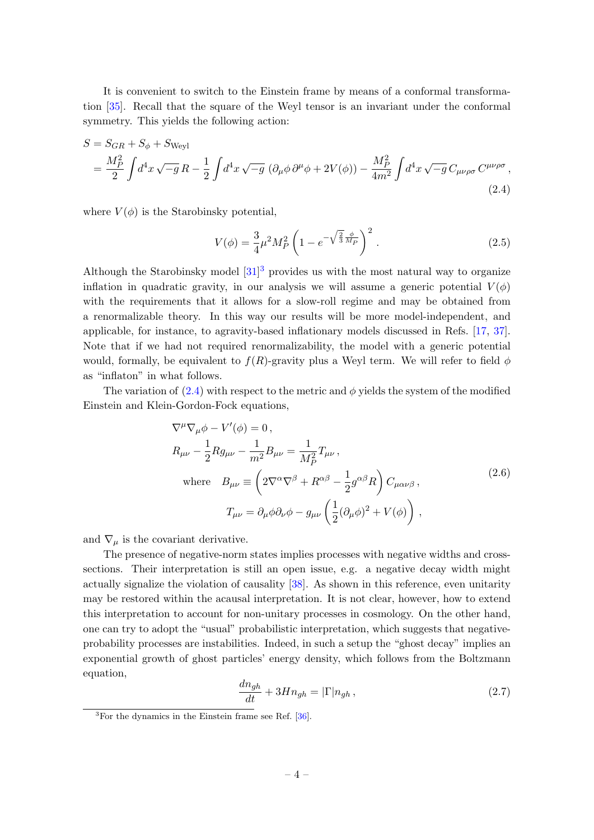It is convenient to switch to the Einstein frame by means of a conformal transformation [\[35\]](#page-26-5). Recall that the square of the Weyl tensor is an invariant under the conformal symmetry. This yields the following action:

<span id="page-4-1"></span>
$$
S = S_{GR} + S_{\phi} + S_{\text{Weyl}}
$$
  
=  $\frac{M_P^2}{2} \int d^4x \sqrt{-g} R - \frac{1}{2} \int d^4x \sqrt{-g} (\partial_{\mu} \phi \partial^{\mu} \phi + 2V(\phi)) - \frac{M_P^2}{4m^2} \int d^4x \sqrt{-g} C_{\mu\nu\rho\sigma} C^{\mu\nu\rho\sigma}$ , (2.4)

where  $V(\phi)$  is the Starobinsky potential,

$$
V(\phi) = \frac{3}{4}\mu^2 M_P^2 \left(1 - e^{-\sqrt{\frac{2}{3}}\frac{\phi}{M_P}}\right)^2.
$$
 (2.5)

Although the Starobinsky model  $[31]$  $[31]$  $[31]$ <sup>3</sup> provides us with the most natural way to organize inflation in quadratic gravity, in our analysis we will assume a generic potential  $V(\phi)$ with the requirements that it allows for a slow-roll regime and may be obtained from a renormalizable theory. In this way our results will be more model-independent, and applicable, for instance, to agravity-based inflationary models discussed in Refs. [\[17,](#page-25-15) [37\]](#page-26-6). Note that if we had not required renormalizability, the model with a generic potential would, formally, be equivalent to  $f(R)$ -gravity plus a Weyl term. We will refer to field  $\phi$ as "inflaton" in what follows.

The variation of  $(2.4)$  with respect to the metric and  $\phi$  yields the system of the modified Einstein and Klein-Gordon-Fock equations,

$$
\nabla^{\mu}\nabla_{\mu}\phi - V'(\phi) = 0,
$$
  
\n
$$
R_{\mu\nu} - \frac{1}{2}Rg_{\mu\nu} - \frac{1}{m^2}B_{\mu\nu} = \frac{1}{M_P^2}T_{\mu\nu},
$$
  
\nwhere 
$$
B_{\mu\nu} \equiv \left(2\nabla^{\alpha}\nabla^{\beta} + R^{\alpha\beta} - \frac{1}{2}g^{\alpha\beta}R\right)C_{\mu\alpha\nu\beta},
$$
  
\n
$$
T_{\mu\nu} = \partial_{\mu}\phi\partial_{\nu}\phi - g_{\mu\nu}\left(\frac{1}{2}(\partial_{\mu}\phi)^2 + V(\phi)\right),
$$
\n(2.6)

<span id="page-4-2"></span>and  $\nabla_{\mu}$  is the covariant derivative.

The presence of negative-norm states implies processes with negative widths and crosssections. Their interpretation is still an open issue, e.g. a negative decay width might actually signalize the violation of causality [\[38\]](#page-26-7). As shown in this reference, even unitarity may be restored within the acausal interpretation. It is not clear, however, how to extend this interpretation to account for non-unitary processes in cosmology. On the other hand, one can try to adopt the "usual" probabilistic interpretation, which suggests that negativeprobability processes are instabilities. Indeed, in such a setup the "ghost decay" implies an exponential growth of ghost particles' energy density, which follows from the Boltzmann equation,

$$
\frac{dn_{gh}}{dt} + 3Hn_{gh} = |\Gamma|n_{gh},\qquad(2.7)
$$

<span id="page-4-0"></span> ${}^{3}$ For the dynamics in the Einstein frame see Ref. [\[36\]](#page-26-8).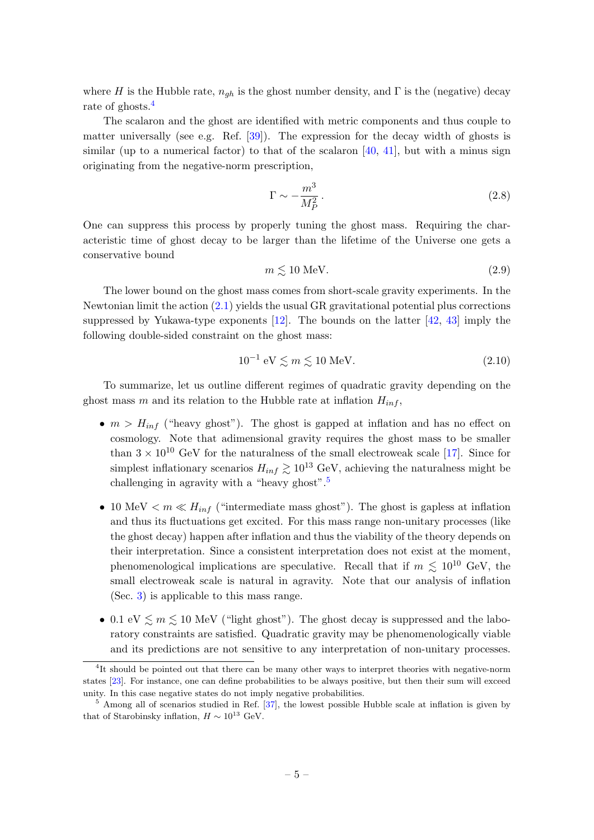where H is the Hubble rate,  $n_{gh}$  is the ghost number density, and  $\Gamma$  is the (negative) decay rate of ghosts.<sup>[4](#page-5-0)</sup>

The scalaron and the ghost are identified with metric components and thus couple to matter universally (see e.g. Ref. [\[39\]](#page-26-9)). The expression for the decay width of ghosts is similar (up to a numerical factor) to that of the scalaron  $[40, 41]$  $[40, 41]$ , but with a minus sign originating from the negative-norm prescription,

$$
\Gamma \sim -\frac{m^3}{M_P^2} \,. \tag{2.8}
$$

One can suppress this process by properly tuning the ghost mass. Requiring the characteristic time of ghost decay to be larger than the lifetime of the Universe one gets a conservative bound

$$
m \lesssim 10 \text{ MeV}.\tag{2.9}
$$

The lower bound on the ghost mass comes from short-scale gravity experiments. In the Newtonian limit the action  $(2.1)$  yields the usual GR gravitational potential plus corrections suppressed by Yukawa-type exponents [\[12\]](#page-25-11). The bounds on the latter [\[42,](#page-26-12) [43\]](#page-26-13) imply the following double-sided constraint on the ghost mass:

<span id="page-5-2"></span>
$$
10^{-1} \text{ eV} \lesssim m \lesssim 10 \text{ MeV}.\tag{2.10}
$$

To summarize, let us outline different regimes of quadratic gravity depending on the ghost mass m and its relation to the Hubble rate at inflation  $H_{inf}$ ,

- $m > H_{inf}$  ("heavy ghost"). The ghost is gapped at inflation and has no effect on cosmology. Note that adimensional gravity requires the ghost mass to be smaller than  $3 \times 10^{10}$  GeV for the naturalness of the small electroweak scale [\[17\]](#page-25-15). Since for simplest inflationary scenarios  $H_{inf} \geq 10^{13}$  GeV, achieving the naturalness might be challenging in agravity with a "heavy ghost".[5](#page-5-1)
- 10 MeV  $\lt m \ll H_{inf}$  ("intermediate mass ghost"). The ghost is gapless at inflation and thus its fluctuations get excited. For this mass range non-unitary processes (like the ghost decay) happen after inflation and thus the viability of the theory depends on their interpretation. Since a consistent interpretation does not exist at the moment, phenomenological implications are speculative. Recall that if  $m \lesssim 10^{10}$  GeV, the small electroweak scale is natural in agravity. Note that our analysis of inflation (Sec. [3\)](#page-6-0) is applicable to this mass range.
- 0.1 eV  $\leq m \leq 10$  MeV ("light ghost"). The ghost decay is suppressed and the laboratory constraints are satisfied. Quadratic gravity may be phenomenologically viable and its predictions are not sensitive to any interpretation of non-unitary processes.

<span id="page-5-0"></span><sup>&</sup>lt;sup>4</sup>It should be pointed out that there can be many other ways to interpret theories with negative-norm states [\[23\]](#page-25-20). For instance, one can define probabilities to be always positive, but then their sum will exceed unity. In this case negative states do not imply negative probabilities.

<span id="page-5-1"></span><sup>5</sup> Among all of scenarios studied in Ref. [\[37\]](#page-26-6), the lowest possible Hubble scale at inflation is given by that of Starobinsky inflation,  $H \sim 10^{13}$  GeV.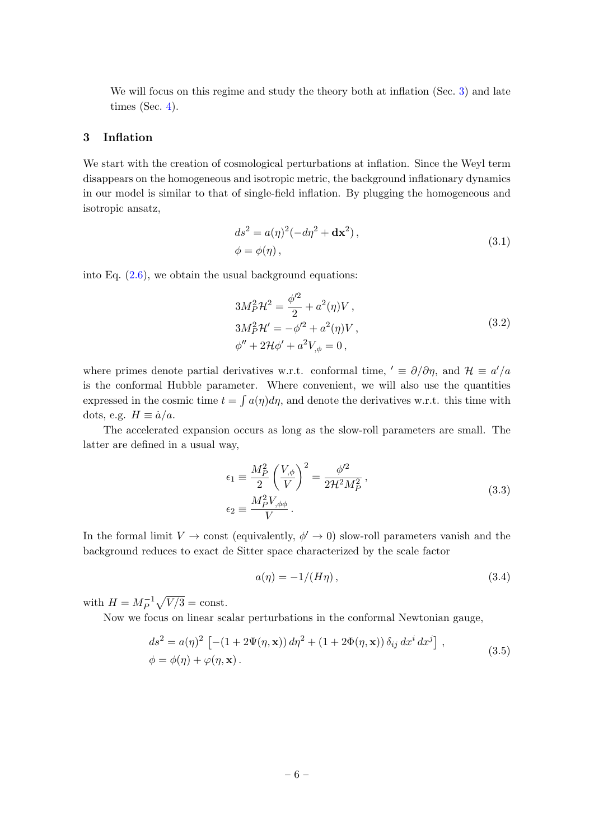We will focus on this regime and study the theory both at inflation (Sec. [3\)](#page-6-0) and late times (Sec. [4\)](#page-13-0).

## <span id="page-6-0"></span>3 Inflation

We start with the creation of cosmological perturbations at inflation. Since the Weyl term disappears on the homogeneous and isotropic metric, the background inflationary dynamics in our model is similar to that of single-field inflation. By plugging the homogeneous and isotropic ansatz,

$$
ds2 = a(\eta)2(-d\eta2 + d\mathbf{x}2),
$$
  
\n
$$
\phi = \phi(\eta),
$$
\n(3.1)

<span id="page-6-1"></span>into Eq.  $(2.6)$ , we obtain the usual background equations:

$$
3M_P^2 \mathcal{H}^2 = \frac{\phi'^2}{2} + a^2(\eta)V,
$$
  
\n
$$
3M_P^2 \mathcal{H}' = -\phi'^2 + a^2(\eta)V,
$$
  
\n
$$
\phi'' + 2\mathcal{H}\phi' + a^2V_{,\phi} = 0,
$$
\n(3.2)

where primes denote partial derivatives w.r.t. conformal time,  $\prime \equiv \partial/\partial \eta$ , and  $\mathcal{H} \equiv a'/a$ is the conformal Hubble parameter. Where convenient, we will also use the quantities expressed in the cosmic time  $t = \int a(\eta)d\eta$ , and denote the derivatives w.r.t. this time with dots, e.g.  $H \equiv \dot{a}/a$ .

The accelerated expansion occurs as long as the slow-roll parameters are small. The latter are defined in a usual way,

$$
\epsilon_1 \equiv \frac{M_P^2}{2} \left(\frac{V_{,\phi}}{V}\right)^2 = \frac{\phi'^2}{2\mathcal{H}^2 M_P^2},
$$
\n
$$
\epsilon_2 \equiv \frac{M_P^2 V_{,\phi\phi}}{V}.
$$
\n(3.3)

<span id="page-6-3"></span>In the formal limit  $V \to \text{const}$  (equivalently,  $\phi' \to 0$ ) slow-roll parameters vanish and the background reduces to exact de Sitter space characterized by the scale factor

$$
a(\eta) = -1/(H\eta) \,,\tag{3.4}
$$

with  $H = M_P^{-1} \sqrt{V/3} = \text{const.}$ 

<span id="page-6-2"></span>Now we focus on linear scalar perturbations in the conformal Newtonian gauge,

$$
ds^{2} = a(\eta)^{2} \left[ -(1 + 2\Psi(\eta, \mathbf{x})) d\eta^{2} + (1 + 2\Phi(\eta, \mathbf{x})) \delta_{ij} dx^{i} dx^{j} \right],
$$
  
\n
$$
\phi = \phi(\eta) + \varphi(\eta, \mathbf{x}).
$$
\n(3.5)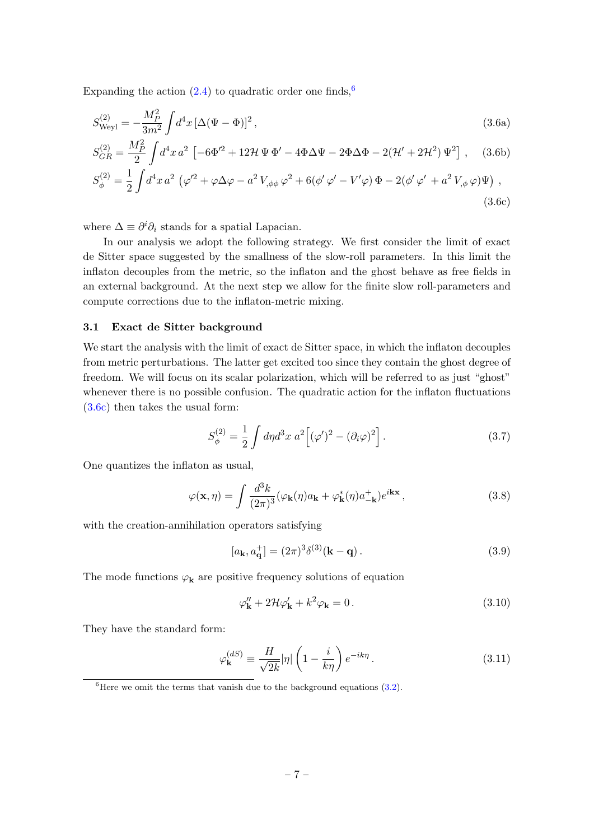Expanding the action  $(2.4)$  to quadratic order one finds, <sup>[6](#page-7-1)</sup>

<span id="page-7-3"></span>
$$
S_{\text{Weyl}}^{(2)} = -\frac{M_P^2}{3m^2} \int d^4x \left[ \Delta (\Psi - \Phi) \right]^2, \tag{3.6a}
$$

<span id="page-7-4"></span>
$$
S_{GR}^{(2)} = \frac{M_P^2}{2} \int d^4x \, a^2 \left[ -6\Phi'^2 + 12\mathcal{H} \, \Psi \, \Phi' - 4\Phi \Delta \Psi - 2\Phi \Delta \Phi - 2(\mathcal{H}' + 2\mathcal{H}^2) \, \Psi^2 \right] \,, \tag{3.6b}
$$

$$
S_{\phi}^{(2)} = \frac{1}{2} \int d^4 x \, a^2 \, \left( \varphi'^2 + \varphi \Delta \varphi - a^2 \, V_{,\phi\phi} \, \varphi^2 + 6(\phi' \, \varphi' - V' \varphi) \, \Phi - 2(\phi' \, \varphi' + a^2 \, V_{,\phi} \, \varphi) \Psi \right) \,, \tag{3.6c}
$$

where  $\Delta \equiv \partial^i \partial_i$  stands for a spatial Lapacian.

In our analysis we adopt the following strategy. We first consider the limit of exact de Sitter space suggested by the smallness of the slow-roll parameters. In this limit the inflaton decouples from the metric, so the inflaton and the ghost behave as free fields in an external background. At the next step we allow for the finite slow roll-parameters and compute corrections due to the inflaton-metric mixing.

#### <span id="page-7-0"></span>3.1 Exact de Sitter background

We start the analysis with the limit of exact de Sitter space, in which the inflaton decouples from metric perturbations. The latter get excited too since they contain the ghost degree of freedom. We will focus on its scalar polarization, which will be referred to as just "ghost" whenever there is no possible confusion. The quadratic action for the inflaton fluctuations [\(3.6c\)](#page-7-2) then takes the usual form:

<span id="page-7-2"></span>
$$
S_{\phi}^{(2)} = \frac{1}{2} \int d\eta d^3 x \ a^2 \left[ (\varphi')^2 - (\partial_i \varphi)^2 \right]. \tag{3.7}
$$

One quantizes the inflaton as usual,

<span id="page-7-5"></span>
$$
\varphi(\mathbf{x}, \eta) = \int \frac{d^3k}{(2\pi)^3} (\varphi_{\mathbf{k}}(\eta) a_{\mathbf{k}} + \varphi_{\mathbf{k}}^*(\eta) a_{-\mathbf{k}}^+) e^{i\mathbf{k}\mathbf{x}},
$$
\n(3.8)

with the creation-annihilation operators satisfying

$$
[a_{\mathbf{k}}, a_{\mathbf{q}}^+] = (2\pi)^3 \delta^{(3)}(\mathbf{k} - \mathbf{q}). \tag{3.9}
$$

The mode functions  $\varphi_{\mathbf{k}}$  are positive frequency solutions of equation

$$
\varphi_{\mathbf{k}}'' + 2\mathcal{H}\varphi_{\mathbf{k}}' + k^2 \varphi_{\mathbf{k}} = 0.
$$
\n(3.10)

They have the standard form:

<span id="page-7-6"></span>
$$
\varphi_{\mathbf{k}}^{(dS)} \equiv \frac{H}{\sqrt{2k}} |\eta| \left( 1 - \frac{i}{k\eta} \right) e^{-ik\eta} . \tag{3.11}
$$

<span id="page-7-1"></span><sup>&</sup>lt;sup>6</sup>Here we omit the terms that vanish due to the background equations  $(3.2)$ .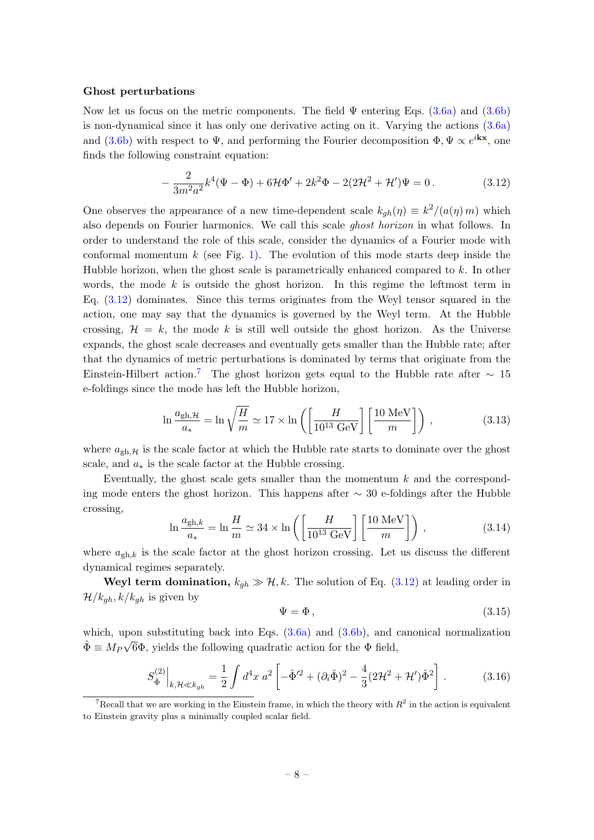#### Ghost perturbations

Now let us focus on the metric components. The field  $\Psi$  entering Eqs. [\(3.6a\)](#page-7-3) and [\(3.6b\)](#page-7-4) is non-dynamical since it has only one derivative acting on it. Varying the actions [\(3.6a\)](#page-7-3) and [\(3.6b\)](#page-7-4) with respect to  $\Psi$ , and performing the Fourier decomposition  $\Phi$ ,  $\Psi \propto e^{i\mathbf{k}\mathbf{x}}$ , one finds the following constraint equation:

<span id="page-8-0"></span>
$$
-\frac{2}{3m^2a^2}k^4(\Psi - \Phi) + 6\mathcal{H}\Phi' + 2k^2\Phi - 2(2\mathcal{H}^2 + \mathcal{H}')\Psi = 0.
$$
 (3.12)

One observes the appearance of a new time-dependent scale  $k_{gh}(\eta) \equiv k^2/(a(\eta) m)$  which also depends on Fourier harmonics. We call this scale ghost horizon in what follows. In order to understand the role of this scale, consider the dynamics of a Fourier mode with conformal momentum  $k$  (see Fig. [1\)](#page-9-0). The evolution of this mode starts deep inside the Hubble horizon, when the ghost scale is parametrically enhanced compared to  $k$ . In other words, the mode  $k$  is outside the ghost horizon. In this regime the leftmost term in Eq. [\(3.12\)](#page-8-0) dominates. Since this terms originates from the Weyl tensor squared in the action, one may say that the dynamics is governed by the Weyl term. At the Hubble crossing,  $\mathcal{H} = k$ , the mode k is still well outside the ghost horizon. As the Universe expands, the ghost scale decreases and eventually gets smaller than the Hubble rate; after that the dynamics of metric perturbations is dominated by terms that originate from the Einstein-Hilbert action.<sup>[7](#page-8-1)</sup> The ghost horizon gets equal to the Hubble rate after  $\sim 15$ e-foldings since the mode has left the Hubble horizon,

$$
\ln \frac{a_{\rm gh}, \mathcal{H}}{a_*} = \ln \sqrt{\frac{H}{m}} \simeq 17 \times \ln \left( \left[ \frac{H}{10^{13} \text{ GeV}} \right] \left[ \frac{10 \text{ MeV}}{m} \right] \right), \tag{3.13}
$$

where  $a_{gh,H}$  is the scale factor at which the Hubble rate starts to dominate over the ghost scale, and  $a_*$  is the scale factor at the Hubble crossing.

Eventually, the ghost scale gets smaller than the momentum  $k$  and the corresponding mode enters the ghost horizon. This happens after  $\sim$  30 e-foldings after the Hubble crossing,

$$
\ln \frac{a_{\text{gh},k}}{a_*} = \ln \frac{H}{m} \simeq 34 \times \ln \left( \left[ \frac{H}{10^{13} \text{ GeV}} \right] \left[ \frac{10 \text{ MeV}}{m} \right] \right), \tag{3.14}
$$

where  $a_{gh,k}$  is the scale factor at the ghost horizon crossing. Let us discuss the different dynamical regimes separately.

Weyl term domination,  $k_{gh} \gg H, k$ . The solution of Eq. [\(3.12\)](#page-8-0) at leading order in  $\mathcal{H}/k_{gh}, k/k_{gh}$  is given by

<span id="page-8-3"></span>
$$
\Psi = \Phi \,,\tag{3.15}
$$

which, upon substituting back into Eqs.  $(3.6a)$  and  $(3.6b)$ , and canonical normalization  $\hat{\Phi} \equiv M_P \sqrt{6} \Phi$ , yields the following quadratic action for the  $\Phi$  field,

<span id="page-8-2"></span>
$$
S_{\hat{\Phi}}^{(2)}\Big|_{k,\mathcal{H}\ll k_{gh}} = \frac{1}{2} \int d^4x \ a^2 \left[ -\hat{\Phi}'^2 + (\partial_i \hat{\Phi})^2 - \frac{4}{3} (2\mathcal{H}^2 + \mathcal{H}') \hat{\Phi}^2 \right]. \tag{3.16}
$$

<span id="page-8-1"></span><sup>&</sup>lt;sup>7</sup> Recall that we are working in the Einstein frame, in which the theory with  $R^2$  in the action is equivalent to Einstein gravity plus a minimally coupled scalar field.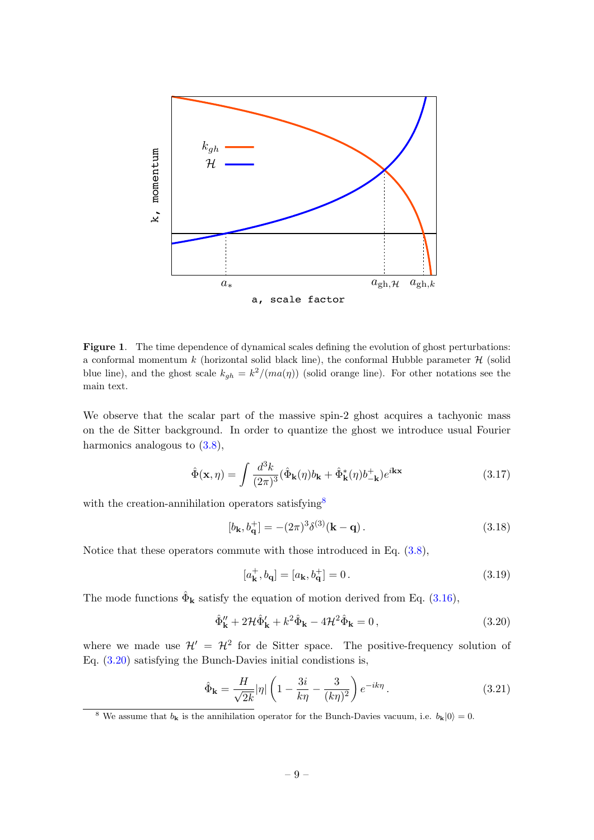

<span id="page-9-0"></span>Figure 1. The time dependence of dynamical scales defining the evolution of ghost perturbations: a conformal momentum k (horizontal solid black line), the conformal Hubble parameter  $\mathcal H$  (solid blue line), and the ghost scale  $k_{gh} = k^2/(ma(\eta))$  (solid orange line). For other notations see the main text.

We observe that the scalar part of the massive spin-2 ghost acquires a tachyonic mass on the de Sitter background. In order to quantize the ghost we introduce usual Fourier harmonics analogous to  $(3.8)$ ,

<span id="page-9-4"></span>
$$
\hat{\Phi}(\mathbf{x}, \eta) = \int \frac{d^3k}{(2\pi)^3} (\hat{\Phi}_{\mathbf{k}}(\eta)b_{\mathbf{k}} + \hat{\Phi}_{\mathbf{k}}^*(\eta)b_{-\mathbf{k}}^{\dagger})e^{i\mathbf{k}\mathbf{x}} \tag{3.17}
$$

with the creation-annihilation operators satisfying<sup>[8](#page-9-1)</sup>

<span id="page-9-6"></span>
$$
[b_{\mathbf{k}}, b_{\mathbf{q}}^+] = -(2\pi)^3 \delta^{(3)}(\mathbf{k} - \mathbf{q}). \tag{3.18}
$$

Notice that these operators commute with those introduced in Eq. [\(3.8\)](#page-7-5),

<span id="page-9-5"></span>
$$
[ak+, bq] = [ak, bq+] = 0.
$$
 (3.19)

The mode functions  $\hat{\Phi}_{\mathbf{k}}$  satisfy the equation of motion derived from Eq. [\(3.16\)](#page-8-2),

<span id="page-9-2"></span>
$$
\hat{\Phi}_{\mathbf{k}}'' + 2\mathcal{H}\hat{\Phi}_{\mathbf{k}}' + k^2 \hat{\Phi}_{\mathbf{k}} - 4\mathcal{H}^2 \hat{\Phi}_{\mathbf{k}} = 0, \qquad (3.20)
$$

where we made use  $\mathcal{H}' = \mathcal{H}^2$  for de Sitter space. The positive-frequency solution of Eq. [\(3.20\)](#page-9-2) satisfying the Bunch-Davies initial condistions is,

<span id="page-9-3"></span>
$$
\hat{\Phi}_{\mathbf{k}} = \frac{H}{\sqrt{2k}} |\eta| \left( 1 - \frac{3i}{k\eta} - \frac{3}{(k\eta)^2} \right) e^{-ik\eta} . \tag{3.21}
$$

<span id="page-9-1"></span><sup>8</sup> We assume that  $b_k$  is the annihilation operator for the Bunch-Davies vacuum, i.e.  $b_k|0\rangle = 0$ .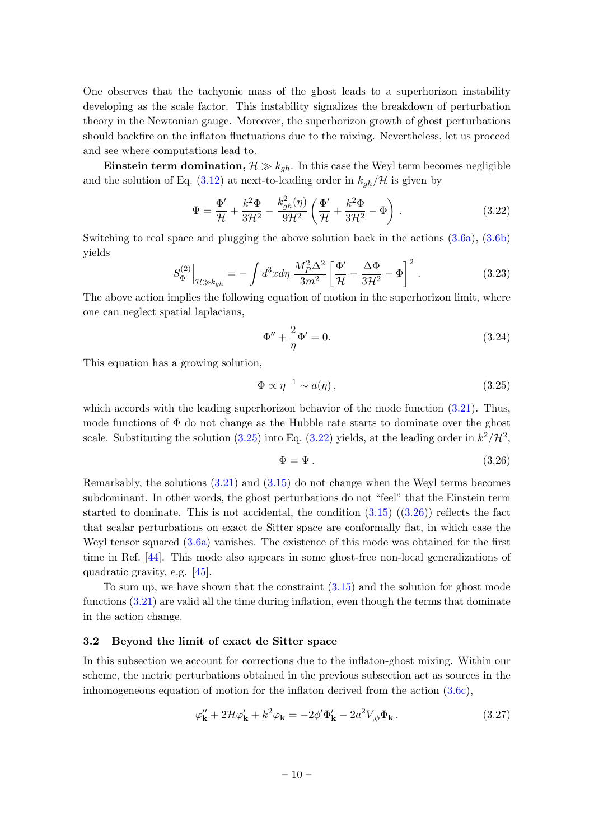One observes that the tachyonic mass of the ghost leads to a superhorizon instability developing as the scale factor. This instability signalizes the breakdown of perturbation theory in the Newtonian gauge. Moreover, the superhorizon growth of ghost perturbations should backfire on the inflaton fluctuations due to the mixing. Nevertheless, let us proceed and see where computations lead to.

**Einstein term domination,**  $\mathcal{H} \gg k_{gh}$ . In this case the Weyl term becomes negligible and the solution of Eq. [\(3.12\)](#page-8-0) at next-to-leading order in  $k_{ah}/\mathcal{H}$  is given by

<span id="page-10-2"></span>
$$
\Psi = \frac{\Phi'}{\mathcal{H}} + \frac{k^2 \Phi}{3\mathcal{H}^2} - \frac{k_{gh}^2(\eta)}{9\mathcal{H}^2} \left(\frac{\Phi'}{\mathcal{H}} + \frac{k^2 \Phi}{3\mathcal{H}^2} - \Phi\right).
$$
 (3.22)

Switching to real space and plugging the above solution back in the actions [\(3.6a\)](#page-7-3), [\(3.6b\)](#page-7-4) yields

$$
S_{\Phi}^{(2)}\Big|_{\mathcal{H}\gg k_{gh}} = -\int d^3x d\eta \frac{M_P^2 \Delta^2}{3m^2} \left[\frac{\Phi'}{\mathcal{H}} - \frac{\Delta\Phi}{3\mathcal{H}^2} - \Phi\right]^2. \tag{3.23}
$$

The above action implies the following equation of motion in the superhorizon limit, where one can neglect spatial laplacians,

$$
\Phi'' + \frac{2}{\eta}\Phi' = 0.
$$
\n(3.24)

This equation has a growing solution,

<span id="page-10-1"></span>
$$
\Phi \propto \eta^{-1} \sim a(\eta) \,,\tag{3.25}
$$

which accords with the leading superhorizon behavior of the mode function  $(3.21)$ . Thus, mode functions of  $\Phi$  do not change as the Hubble rate starts to dominate over the ghost scale. Substituting the solution [\(3.25\)](#page-10-1) into Eq. [\(3.22\)](#page-10-2) yields, at the leading order in  $k^2/\mathcal{H}^2$ ,

<span id="page-10-3"></span>
$$
\Phi = \Psi. \tag{3.26}
$$

Remarkably, the solutions [\(3.21\)](#page-9-3) and [\(3.15\)](#page-8-3) do not change when the Weyl terms becomes subdominant. In other words, the ghost perturbations do not "feel" that the Einstein term started to dominate. This is not accidental, the condition  $(3.15)$   $((3.26))$  $((3.26))$  $((3.26))$  reflects the fact that scalar perturbations on exact de Sitter space are conformally flat, in which case the Weyl tensor squared [\(3.6a\)](#page-7-3) vanishes. The existence of this mode was obtained for the first time in Ref. [\[44\]](#page-26-14). This mode also appears in some ghost-free non-local generalizations of quadratic gravity, e.g. [\[45\]](#page-26-15).

To sum up, we have shown that the constraint [\(3.15\)](#page-8-3) and the solution for ghost mode functions [\(3.21\)](#page-9-3) are valid all the time during inflation, even though the terms that dominate in the action change.

## <span id="page-10-0"></span>3.2 Beyond the limit of exact de Sitter space

<span id="page-10-4"></span>In this subsection we account for corrections due to the inflaton-ghost mixing. Within our scheme, the metric perturbations obtained in the previous subsection act as sources in the inhomogeneous equation of motion for the inflaton derived from the action [\(3.6c\)](#page-7-2),

$$
\varphi_{\mathbf{k}}'' + 2\mathcal{H}\varphi_{\mathbf{k}}' + k^2 \varphi_{\mathbf{k}} = -2\phi' \Phi_{\mathbf{k}}' - 2a^2 V_{,\phi} \Phi_{\mathbf{k}}.
$$
\n(3.27)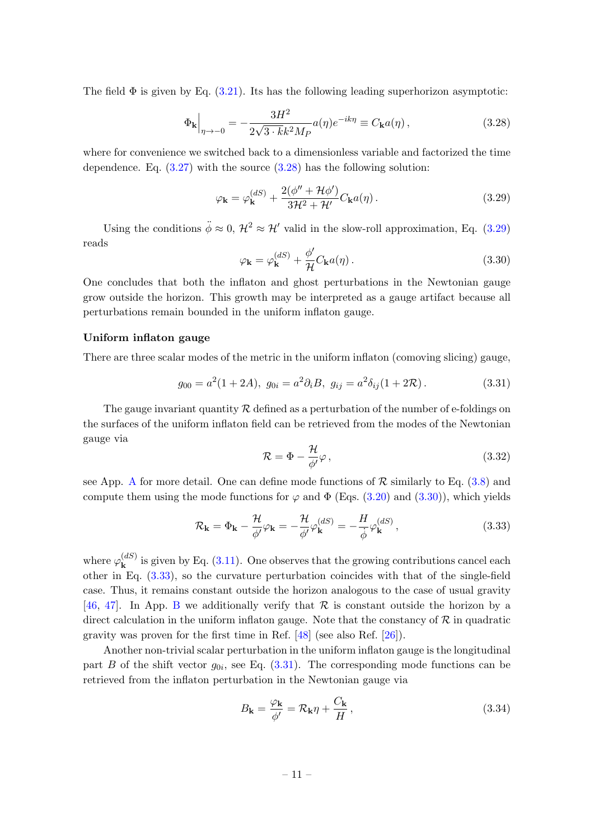The field  $\Phi$  is given by Eq. [\(3.21\)](#page-9-3). Its has the following leading superhorizon asymptotic:

<span id="page-11-0"></span>
$$
\Phi_{\mathbf{k}}\Big|_{\eta \to -0} = -\frac{3H^2}{2\sqrt{3 \cdot k} k^2 M_P} a(\eta) e^{-ik\eta} \equiv C_{\mathbf{k}} a(\eta) ,\qquad (3.28)
$$

where for convenience we switched back to a dimensionless variable and factorized the time dependence. Eq.  $(3.27)$  with the source  $(3.28)$  has the following solution:

<span id="page-11-1"></span>
$$
\varphi_{\mathbf{k}} = \varphi_{\mathbf{k}}^{(dS)} + \frac{2(\phi'' + \mathcal{H}\phi')}{3\mathcal{H}^2 + \mathcal{H}'} C_{\mathbf{k}} a(\eta). \tag{3.29}
$$

Using the conditions  $\ddot{\phi} \approx 0$ ,  $\mathcal{H}^2 \approx \mathcal{H}'$  valid in the slow-roll approximation, Eq. [\(3.29\)](#page-11-1) reads

<span id="page-11-2"></span>
$$
\varphi_{\mathbf{k}} = \varphi_{\mathbf{k}}^{(dS)} + \frac{\phi'}{\mathcal{H}} C_{\mathbf{k}} a(\eta). \tag{3.30}
$$

One concludes that both the inflaton and ghost perturbations in the Newtonian gauge grow outside the horizon. This growth may be interpreted as a gauge artifact because all perturbations remain bounded in the uniform inflaton gauge.

#### Uniform inflaton gauge

There are three scalar modes of the metric in the uniform inflaton (comoving slicing) gauge,

<span id="page-11-4"></span>
$$
g_{00} = a^2(1+2A), \ g_{0i} = a^2\partial_i B, \ g_{ij} = a^2\delta_{ij}(1+2\mathcal{R}). \tag{3.31}
$$

The gauge invariant quantity  $R$  defined as a perturbation of the number of e-foldings on the surfaces of the uniform inflaton field can be retrieved from the modes of the Newtonian gauge via

$$
\mathcal{R} = \Phi - \frac{\mathcal{H}}{\phi'}\varphi, \qquad (3.32)
$$

see [A](#page-18-0)pp. A for more detail. One can define mode functions of  $\mathcal R$  similarly to Eq. [\(3.8\)](#page-7-5) and compute them using the mode functions for  $\varphi$  and  $\Phi$  (Eqs. [\(3.20\)](#page-9-2) and [\(3.30\)](#page-11-2)), which yields

<span id="page-11-3"></span>
$$
\mathcal{R}_{\mathbf{k}} = \Phi_{\mathbf{k}} - \frac{\mathcal{H}}{\phi'} \varphi_{\mathbf{k}} = -\frac{\mathcal{H}}{\phi'} \varphi_{\mathbf{k}}^{(dS)} = -\frac{H}{\dot{\phi}} \varphi_{\mathbf{k}}^{(dS)},\tag{3.33}
$$

where  $\varphi_{\mathbf{k}}^{(dS)}$  $\mathbf{k}^{(as)}$  is given by Eq. [\(3.11\)](#page-7-6). One observes that the growing contributions cancel each other in Eq. [\(3.33\)](#page-11-3), so the curvature perturbation coincides with that of the single-field case. Thus, it remains constant outside the horizon analogous to the case of usual gravity [\[46,](#page-26-16) [47\]](#page-26-17). In App. [B](#page-19-0) we additionally verify that  $\mathcal R$  is constant outside the horizon by a direct calculation in the uniform inflaton gauge. Note that the constancy of  $\mathcal R$  in quadratic gravity was proven for the first time in Ref. [\[48\]](#page-26-18) (see also Ref. [\[26\]](#page-25-23)).

<span id="page-11-5"></span>Another non-trivial scalar perturbation in the uniform inflaton gauge is the longitudinal part B of the shift vector  $g_{0i}$ , see Eq. [\(3.31\)](#page-11-4). The corresponding mode functions can be retrieved from the inflaton perturbation in the Newtonian gauge via

$$
B_{\mathbf{k}} = \frac{\varphi_{\mathbf{k}}}{\phi'} = \mathcal{R}_{\mathbf{k}} \eta + \frac{C_{\mathbf{k}}}{H},
$$
\n(3.34)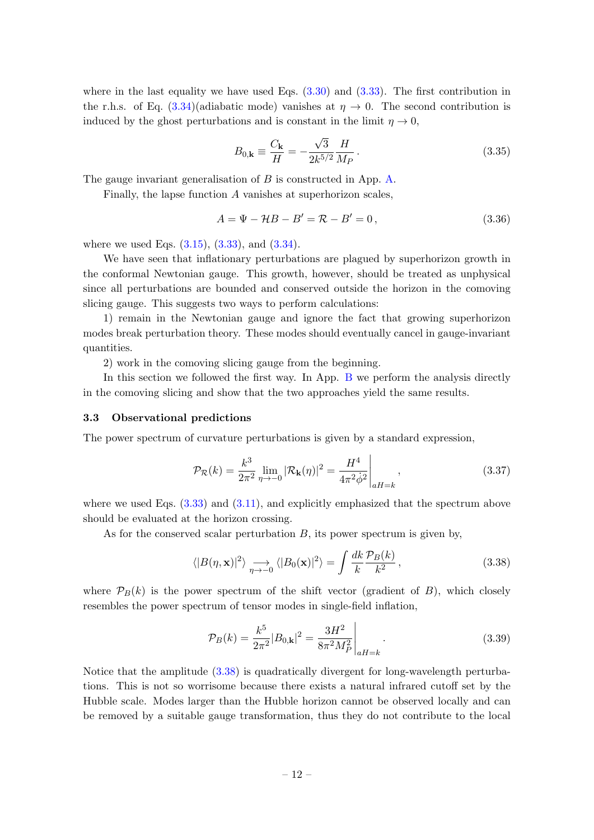where in the last equality we have used Eqs.  $(3.30)$  and  $(3.33)$ . The first contribution in the r.h.s. of Eq.  $(3.34)(\text{adiabatic mode})$  vanishes at  $\eta \to 0$ . The second contribution is induced by the ghost perturbations and is constant in the limit  $\eta \to 0$ ,

$$
B_{0,\mathbf{k}} \equiv \frac{C_{\mathbf{k}}}{H} = -\frac{\sqrt{3}}{2k^{5/2}} \frac{H}{M_P}.
$$
 (3.35)

The gauge invariant generalisation of  $B$  is constructed in App. [A.](#page-18-0)

Finally, the lapse function A vanishes at superhorizon scales,

$$
A = \Psi - \mathcal{H}B - B' = \mathcal{R} - B' = 0,
$$
\n(3.36)

where we used Eqs. [\(3.15\)](#page-8-3), [\(3.33\)](#page-11-3), and [\(3.34\)](#page-11-5).

We have seen that inflationary perturbations are plagued by superhorizon growth in the conformal Newtonian gauge. This growth, however, should be treated as unphysical since all perturbations are bounded and conserved outside the horizon in the comoving slicing gauge. This suggests two ways to perform calculations:

1) remain in the Newtonian gauge and ignore the fact that growing superhorizon modes break perturbation theory. These modes should eventually cancel in gauge-invariant quantities.

2) work in the comoving slicing gauge from the beginning.

In this section we followed the first way. In App. [B](#page-19-0) we perform the analysis directly in the comoving slicing and show that the two approaches yield the same results.

#### <span id="page-12-0"></span>3.3 Observational predictions

The power spectrum of curvature perturbations is given by a standard expression,

$$
\mathcal{P}_{\mathcal{R}}(k) = \frac{k^3}{2\pi^2} \lim_{\eta \to -0} |\mathcal{R}_{\mathbf{k}}(\eta)|^2 = \frac{H^4}{4\pi^2 \dot{\phi}^2} \bigg|_{aH=k},
$$
\n(3.37)

where we used Eqs.  $(3.33)$  and  $(3.11)$ , and explicitly emphasized that the spectrum above should be evaluated at the horizon crossing.

As for the conserved scalar perturbation  $B$ , its power spectrum is given by,

<span id="page-12-1"></span>
$$
\langle |B(\eta, \mathbf{x})|^2 \rangle \underset{\eta \to -0}{\longrightarrow} \langle |B_0(\mathbf{x})|^2 \rangle = \int \frac{dk}{k} \frac{\mathcal{P}_B(k)}{k^2},\tag{3.38}
$$

where  $\mathcal{P}_B(k)$  is the power spectrum of the shift vector (gradient of B), which closely resembles the power spectrum of tensor modes in single-field inflation,

$$
\mathcal{P}_B(k) = \frac{k^5}{2\pi^2} |B_{0,\mathbf{k}}|^2 = \frac{3H^2}{8\pi^2 M_P^2} \Big|_{aH=k}.
$$
\n(3.39)

Notice that the amplitude [\(3.38\)](#page-12-1) is quadratically divergent for long-wavelength perturbations. This is not so worrisome because there exists a natural infrared cutoff set by the Hubble scale. Modes larger than the Hubble horizon cannot be observed locally and can be removed by a suitable gauge transformation, thus they do not contribute to the local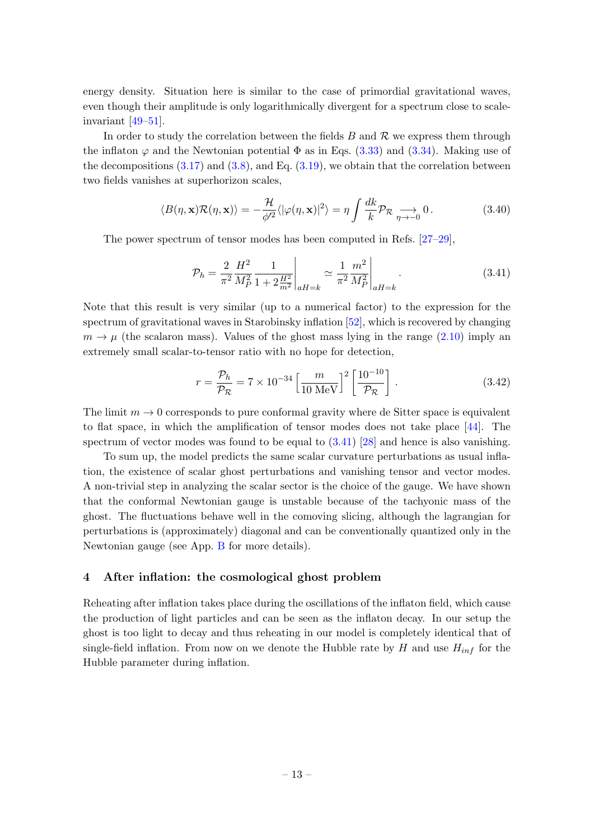energy density. Situation here is similar to the case of primordial gravitational waves, even though their amplitude is only logarithmically divergent for a spectrum close to scaleinvariant [\[49–](#page-26-19)[51\]](#page-26-20).

In order to study the correlation between the fields  $B$  and  $\mathcal R$  we express them through the inflaton  $\varphi$  and the Newtonian potential  $\Phi$  as in Eqs. [\(3.33\)](#page-11-3) and [\(3.34\)](#page-11-5). Making use of the decompositions  $(3.17)$  and  $(3.8)$ , and Eq.  $(3.19)$ , we obtain that the correlation between two fields vanishes at superhorizon scales,

$$
\langle B(\eta, \mathbf{x}) \mathcal{R}(\eta, \mathbf{x}) \rangle = -\frac{\mathcal{H}}{\phi'^2} \langle |\varphi(\eta, \mathbf{x})|^2 \rangle = \eta \int \frac{dk}{k} \mathcal{P}_{\mathcal{R}} \underset{\eta \to -0}{\longrightarrow} 0. \tag{3.40}
$$

The power spectrum of tensor modes has been computed in Refs. [\[27–](#page-25-24)[29\]](#page-26-0),

<span id="page-13-1"></span>
$$
\mathcal{P}_h = \frac{2}{\pi^2} \frac{H^2}{M_P^2} \frac{1}{1 + 2\frac{H^2}{m^2}} \Big|_{aH=k} \simeq \frac{1}{\pi^2} \frac{m^2}{M_P^2} \Big|_{aH=k} . \tag{3.41}
$$

Note that this result is very similar (up to a numerical factor) to the expression for the spectrum of gravitational waves in Starobinsky inflation [\[52\]](#page-26-21), which is recovered by changing  $m \to \mu$  (the scalaron mass). Values of the ghost mass lying in the range [\(2.10\)](#page-5-2) imply an extremely small scalar-to-tensor ratio with no hope for detection,

$$
r = \frac{\mathcal{P}_h}{\mathcal{P}_R} = 7 \times 10^{-34} \left[ \frac{m}{10 \text{ MeV}} \right]^2 \left[ \frac{10^{-10}}{\mathcal{P}_R} \right]. \tag{3.42}
$$

The limit  $m \to 0$  corresponds to pure conformal gravity where de Sitter space is equivalent to flat space, in which the amplification of tensor modes does not take place [\[44\]](#page-26-14). The spectrum of vector modes was found to be equal to [\(3.41\)](#page-13-1) [\[28\]](#page-25-25) and hence is also vanishing.

To sum up, the model predicts the same scalar curvature perturbations as usual inflation, the existence of scalar ghost perturbations and vanishing tensor and vector modes. A non-trivial step in analyzing the scalar sector is the choice of the gauge. We have shown that the conformal Newtonian gauge is unstable because of the tachyonic mass of the ghost. The fluctuations behave well in the comoving slicing, although the lagrangian for perturbations is (approximately) diagonal and can be conventionally quantized only in the Newtonian gauge (see App. [B](#page-19-0) for more details).

#### <span id="page-13-0"></span>4 After inflation: the cosmological ghost problem

Reheating after inflation takes place during the oscillations of the inflaton field, which cause the production of light particles and can be seen as the inflaton decay. In our setup the ghost is too light to decay and thus reheating in our model is completely identical that of single-field inflation. From now on we denote the Hubble rate by H and use  $H_{inf}$  for the Hubble parameter during inflation.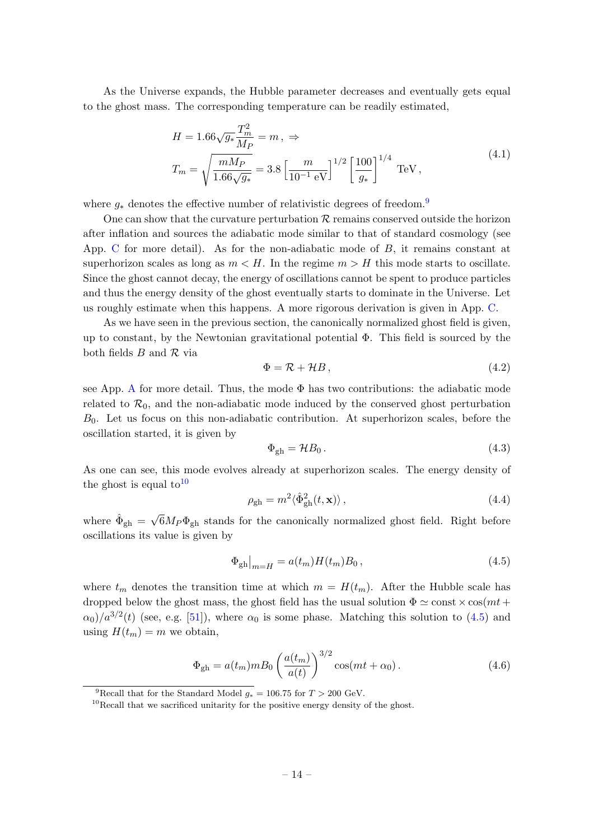As the Universe expands, the Hubble parameter decreases and eventually gets equal to the ghost mass. The corresponding temperature can be readily estimated,

$$
H = 1.66\sqrt{g_*} \frac{T_m^2}{M_P} = m, \Rightarrow
$$
  
\n
$$
T_m = \sqrt{\frac{mM_P}{1.66\sqrt{g_*}}} = 3.8 \left[ \frac{m}{10^{-1} \text{ eV}} \right]^{1/2} \left[ \frac{100}{g_*} \right]^{1/4} \text{ TeV},
$$
\n(4.1)

<span id="page-14-5"></span>where  $g_*$  denotes the effective number of relativistic degrees of freedom.<sup>[9](#page-14-0)</sup>

One can show that the curvature perturbation  $\mathcal R$  remains conserved outside the horizon after inflation and sources the adiabatic mode similar to that of standard cosmology (see App. [C](#page-21-0) for more detail). As for the non-adiabatic mode of  $B$ , it remains constant at superhorizon scales as long as  $m < H$ . In the regime  $m > H$  this mode starts to oscillate. Since the ghost cannot decay, the energy of oscillations cannot be spent to produce particles and thus the energy density of the ghost eventually starts to dominate in the Universe. Let us roughly estimate when this happens. A more rigorous derivation is given in App. [C.](#page-21-0)

As we have seen in the previous section, the canonically normalized ghost field is given, up to constant, by the Newtonian gravitational potential  $\Phi$ . This field is sourced by the both fields  $B$  and  $\mathcal R$  via

$$
\Phi = \mathcal{R} + \mathcal{H}B, \qquad (4.2)
$$

see [A](#page-18-0)pp. A for more detail. Thus, the mode  $\Phi$  has two contributions: the adiabatic mode related to  $\mathcal{R}_0$ , and the non-adiabatic mode induced by the conserved ghost perturbation  $B<sub>0</sub>$ . Let us focus on this non-adiabatic contribution. At superhorizon scales, before the oscillation started, it is given by

$$
\Phi_{\rm gh} = \mathcal{H}B_0 \,. \tag{4.3}
$$

As one can see, this mode evolves already at superhorizon scales. The energy density of the ghost is equal to  $10$ 

<span id="page-14-4"></span>
$$
\rho_{gh} = m^2 \langle \hat{\Phi}_{gh}^2(t, \mathbf{x}) \rangle, \qquad (4.4)
$$

where  $\hat{\Phi}_{gh} = \sqrt{6}M_P\Phi_{gh}$  stands for the canonically normalized ghost field. Right before oscillations its value is given by

<span id="page-14-2"></span>
$$
\Phi_{gh}|_{m=H} = a(t_m)H(t_m)B_0, \t\t(4.5)
$$

where  $t_m$  denotes the transition time at which  $m = H(t_m)$ . After the Hubble scale has dropped below the ghost mass, the ghost field has the usual solution  $\Phi \simeq \text{const} \times \text{cos}(mt +$  $\alpha_0/a^{3/2}(t)$  (see, e.g. [\[51\]](#page-26-20)), where  $\alpha_0$  is some phase. Matching this solution to [\(4.5\)](#page-14-2) and using  $H(t_m) = m$  we obtain,

<span id="page-14-3"></span>
$$
\Phi_{gh} = a(t_m)mB_0 \left(\frac{a(t_m)}{a(t)}\right)^{3/2} \cos(mt + \alpha_0). \tag{4.6}
$$

<span id="page-14-0"></span><sup>&</sup>lt;sup>9</sup>Recall that for the Standard Model  $q_* = 106.75$  for  $T > 200$  GeV.

<span id="page-14-1"></span> $10$ Recall that we sacrificed unitarity for the positive energy density of the ghost.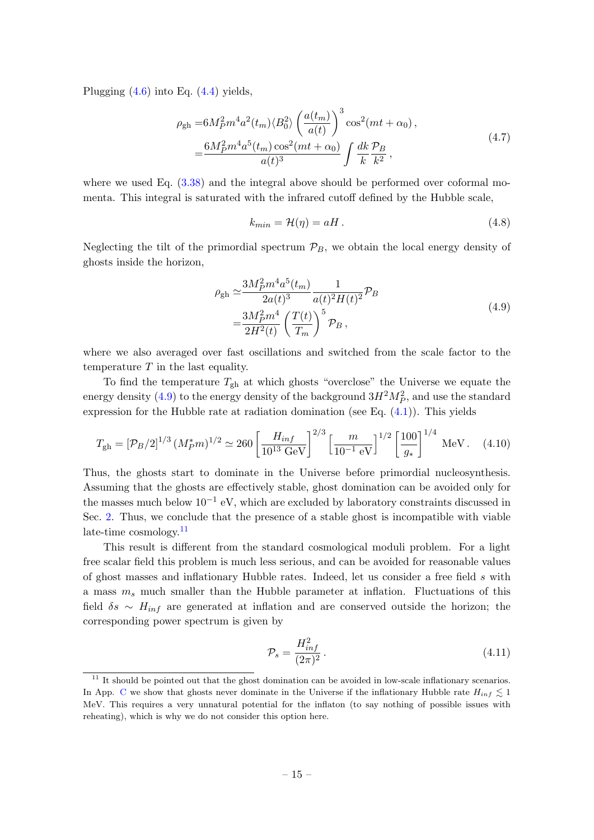<span id="page-15-2"></span>Plugging  $(4.6)$  into Eq.  $(4.4)$  yields,

$$
\rho_{gh} = 6M_P^2 m^4 a^2(t_m) \langle B_0^2 \rangle \left( \frac{a(t_m)}{a(t)} \right)^3 \cos^2(mt + \alpha_0) ,
$$
  
= 
$$
\frac{6M_P^2 m^4 a^5(t_m) \cos^2(mt + \alpha_0)}{a(t)^3} \int \frac{dk}{k} \frac{\mathcal{P}_B}{k^2} ,
$$
 (4.7)

where we used Eq. [\(3.38\)](#page-12-1) and the integral above should be performed over coformal momenta. This integral is saturated with the infrared cutoff defined by the Hubble scale,

$$
k_{min} = \mathcal{H}(\eta) = aH. \tag{4.8}
$$

Neglecting the tilt of the primordial spectrum  $\mathcal{P}_B$ , we obtain the local energy density of ghosts inside the horizon,

$$
\rho_{gh} \simeq \frac{3M_P^2 m^4 a^5(t_m)}{2a(t)^3} \frac{1}{a(t)^2 H(t)^2} \mathcal{P}_B
$$
\n
$$
= \frac{3M_P^2 m^4}{2H^2(t)} \left(\frac{T(t)}{T_m}\right)^5 \mathcal{P}_B,
$$
\n(4.9)

<span id="page-15-0"></span>where we also averaged over fast oscillations and switched from the scale factor to the temperature  $T$  in the last equality.

To find the temperature  $T_{gh}$  at which ghosts "overclose" the Universe we equate the energy density  $(4.9)$  to the energy density of the background  $3H^2M_P^2$ , and use the standard expression for the Hubble rate at radiation domination (see Eq.  $(4.1)$ ). This yields

$$
T_{\rm gh} = \left[\mathcal{P}_B/2\right]^{1/3} (M_P^* m)^{1/2} \simeq 260 \left[\frac{H_{inf}}{10^{13} \text{ GeV}}\right]^{2/3} \left[\frac{m}{10^{-1} \text{ eV}}\right]^{1/2} \left[\frac{100}{g_*}\right]^{1/4} \text{ MeV}.
$$
 (4.10)

Thus, the ghosts start to dominate in the Universe before primordial nucleosynthesis. Assuming that the ghosts are effectively stable, ghost domination can be avoided only for the masses much below  $10^{-1}$  eV, which are excluded by laboratory constraints discussed in Sec. [2.](#page-3-0) Thus, we conclude that the presence of a stable ghost is incompatible with viable late-time cosmology.[11](#page-15-1)

This result is different from the standard cosmological moduli problem. For a light free scalar field this problem is much less serious, and can be avoided for reasonable values of ghost masses and inflationary Hubble rates. Indeed, let us consider a free field s with a mass  $m_s$  much smaller than the Hubble parameter at inflation. Fluctuations of this field  $\delta s \sim H_{inf}$  are generated at inflation and are conserved outside the horizon; the corresponding power spectrum is given by

$$
\mathcal{P}_s = \frac{H_{inf}^2}{(2\pi)^2} \,. \tag{4.11}
$$

<span id="page-15-1"></span><sup>&</sup>lt;sup>11</sup> It should be pointed out that the ghost domination can be avoided in low-scale inflationary scenarios. In App. [C](#page-21-0) we show that ghosts never dominate in the Universe if the inflationary Hubble rate  $H_{inf} \lesssim 1$ MeV. This requires a very unnatural potential for the inflaton (to say nothing of possible issues with reheating), which is why we do not consider this option here.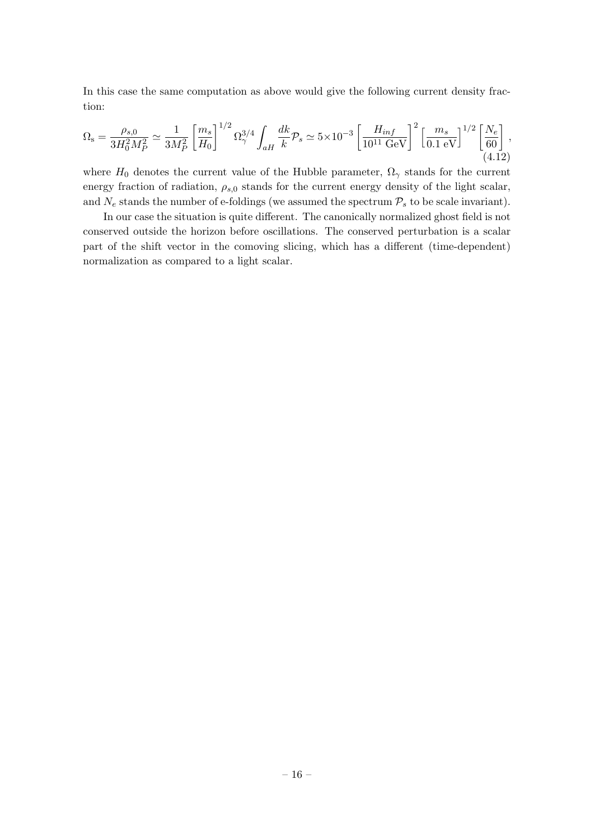In this case the same computation as above would give the following current density fraction:

<span id="page-16-0"></span>
$$
\Omega_{\rm s} = \frac{\rho_{s,0}}{3H_0^2 M_P^2} \simeq \frac{1}{3M_P^2} \left[ \frac{m_s}{H_0} \right]^{1/2} \Omega_\gamma^{3/4} \int_{aH} \frac{dk}{k} \mathcal{P}_s \simeq 5 \times 10^{-3} \left[ \frac{H_{inf}}{10^{11} \text{ GeV}} \right]^2 \left[ \frac{m_s}{0.1 \text{ eV}} \right]^{1/2} \left[ \frac{N_e}{60} \right],\tag{4.12}
$$

where  $H_0$  denotes the current value of the Hubble parameter,  $\Omega_{\gamma}$  stands for the current energy fraction of radiation,  $\rho_{s,0}$  stands for the current energy density of the light scalar, and  $N_e$  stands the number of e-foldings (we assumed the spectrum  $P_s$  to be scale invariant).

In our case the situation is quite different. The canonically normalized ghost field is not conserved outside the horizon before oscillations. The conserved perturbation is a scalar part of the shift vector in the comoving slicing, which has a different (time-dependent) normalization as compared to a light scalar.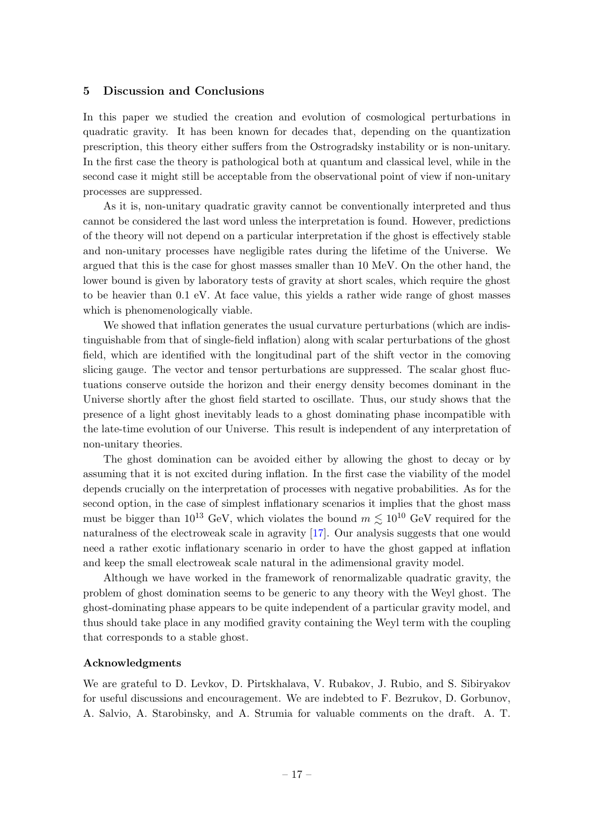## <span id="page-17-0"></span>5 Discussion and Conclusions

In this paper we studied the creation and evolution of cosmological perturbations in quadratic gravity. It has been known for decades that, depending on the quantization prescription, this theory either suffers from the Ostrogradsky instability or is non-unitary. In the first case the theory is pathological both at quantum and classical level, while in the second case it might still be acceptable from the observational point of view if non-unitary processes are suppressed.

As it is, non-unitary quadratic gravity cannot be conventionally interpreted and thus cannot be considered the last word unless the interpretation is found. However, predictions of the theory will not depend on a particular interpretation if the ghost is effectively stable and non-unitary processes have negligible rates during the lifetime of the Universe. We argued that this is the case for ghost masses smaller than 10 MeV. On the other hand, the lower bound is given by laboratory tests of gravity at short scales, which require the ghost to be heavier than 0.1 eV. At face value, this yields a rather wide range of ghost masses which is phenomenologically viable.

We showed that inflation generates the usual curvature perturbations (which are indistinguishable from that of single-field inflation) along with scalar perturbations of the ghost field, which are identified with the longitudinal part of the shift vector in the comoving slicing gauge. The vector and tensor perturbations are suppressed. The scalar ghost fluctuations conserve outside the horizon and their energy density becomes dominant in the Universe shortly after the ghost field started to oscillate. Thus, our study shows that the presence of a light ghost inevitably leads to a ghost dominating phase incompatible with the late-time evolution of our Universe. This result is independent of any interpretation of non-unitary theories.

The ghost domination can be avoided either by allowing the ghost to decay or by assuming that it is not excited during inflation. In the first case the viability of the model depends crucially on the interpretation of processes with negative probabilities. As for the second option, in the case of simplest inflationary scenarios it implies that the ghost mass must be bigger than  $10^{13}$  GeV, which violates the bound  $m \lesssim 10^{10}$  GeV required for the naturalness of the electroweak scale in agravity [\[17\]](#page-25-15). Our analysis suggests that one would need a rather exotic inflationary scenario in order to have the ghost gapped at inflation and keep the small electroweak scale natural in the adimensional gravity model.

Although we have worked in the framework of renormalizable quadratic gravity, the problem of ghost domination seems to be generic to any theory with the Weyl ghost. The ghost-dominating phase appears to be quite independent of a particular gravity model, and thus should take place in any modified gravity containing the Weyl term with the coupling that corresponds to a stable ghost.

#### Acknowledgments

We are grateful to D. Levkov, D. Pirtskhalava, V. Rubakov, J. Rubio, and S. Sibiryakov for useful discussions and encouragement. We are indebted to F. Bezrukov, D. Gorbunov, A. Salvio, A. Starobinsky, and A. Strumia for valuable comments on the draft. A. T.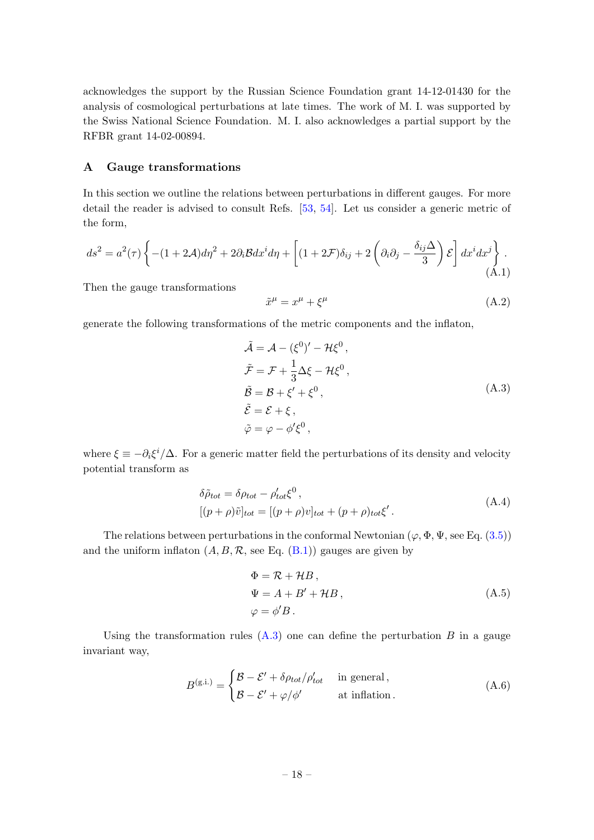acknowledges the support by the Russian Science Foundation grant 14-12-01430 for the analysis of cosmological perturbations at late times. The work of M. I. was supported by the Swiss National Science Foundation. M. I. also acknowledges a partial support by the RFBR grant 14-02-00894.

## <span id="page-18-0"></span>A Gauge transformations

In this section we outline the relations between perturbations in different gauges. For more detail the reader is advised to consult Refs. [\[53,](#page-26-22) [54\]](#page-27-0). Let us consider a generic metric of the form,

$$
ds^{2} = a^{2}(\tau) \left\{ -(1 + 2\mathcal{A}) d\eta^{2} + 2\partial_{i} \mathcal{B} dx^{i} d\eta + \left[ (1 + 2\mathcal{F}) \delta_{ij} + 2 \left( \partial_{i} \partial_{j} - \frac{\delta_{ij} \Delta}{3} \right) \mathcal{E} \right] dx^{i} dx^{j} \right\}.
$$
\n(A.1)

Then the gauge transformations

$$
\tilde{x}^{\mu} = x^{\mu} + \xi^{\mu} \tag{A.2}
$$

<span id="page-18-1"></span>generate the following transformations of the metric components and the inflaton,

$$
\tilde{\mathcal{A}} = \mathcal{A} - (\xi^0)' - \mathcal{H}\xi^0,
$$
\n
$$
\tilde{\mathcal{F}} = \mathcal{F} + \frac{1}{3}\Delta\xi - \mathcal{H}\xi^0,
$$
\n
$$
\tilde{\mathcal{B}} = \mathcal{B} + \xi' + \xi^0,
$$
\n
$$
\tilde{\mathcal{E}} = \mathcal{E} + \xi,
$$
\n
$$
\tilde{\varphi} = \varphi - \phi'\xi^0,
$$
\n(A.3)

where  $\xi \equiv -\partial_i \xi^i / \Delta$ . For a generic matter field the perturbations of its density and velocity potential transform as

$$
\delta \tilde{\rho}_{tot} = \delta \rho_{tot} - \rho'_{tot} \xi^0 ,
$$
  
\n
$$
[(p+\rho)\tilde{v}]_{tot} = [(p+\rho)v]_{tot} + (p+\rho)_{tot} \xi' .
$$
\n(A.4)

The relations between perturbations in the conformal Newtonian  $(\varphi, \Phi, \Psi, \text{see Eq. (3.5)})$  $(\varphi, \Phi, \Psi, \text{see Eq. (3.5)})$  $(\varphi, \Phi, \Psi, \text{see Eq. (3.5)})$ and the uniform inflaton  $(A, B, \mathcal{R})$ , see Eq.  $(B.1)$  gauges are given by

$$
\Phi = \mathcal{R} + \mathcal{H}B, \n\Psi = A + B' + \mathcal{H}B, \n\varphi = \phi'B.
$$
\n(A.5)

<span id="page-18-2"></span>Using the transformation rules  $(A.3)$  one can define the perturbation  $B$  in a gauge invariant way,

$$
B^{(g.i.)} = \begin{cases} \mathcal{B} - \mathcal{E}' + \delta \rho_{tot} / \rho_{tot}' & \text{in general,} \\ \mathcal{B} - \mathcal{E}' + \varphi / \phi' & \text{at inflation.} \end{cases}
$$
(A.6)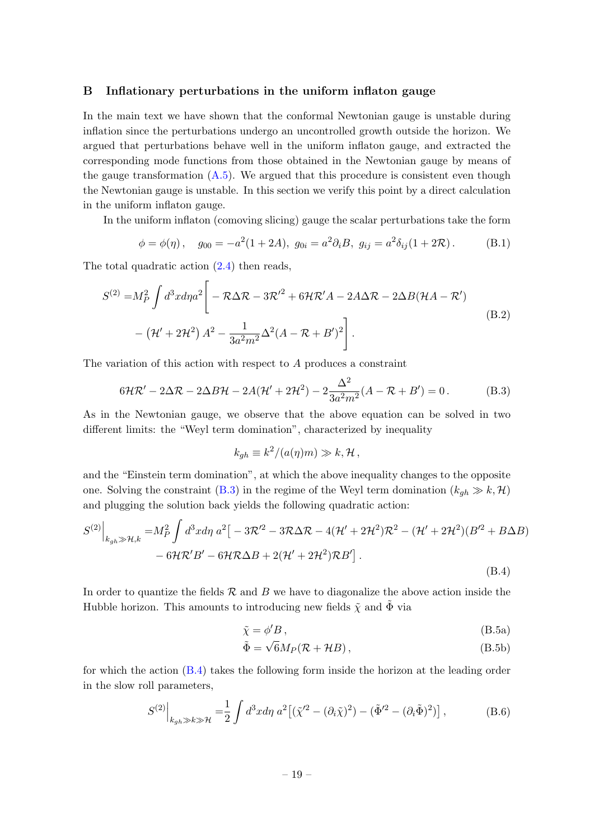## <span id="page-19-0"></span>B Inflationary perturbations in the uniform inflaton gauge

In the main text we have shown that the conformal Newtonian gauge is unstable during inflation since the perturbations undergo an uncontrolled growth outside the horizon. We argued that perturbations behave well in the uniform inflaton gauge, and extracted the corresponding mode functions from those obtained in the Newtonian gauge by means of the gauge transformation  $(A.5)$ . We argued that this procedure is consistent even though the Newtonian gauge is unstable. In this section we verify this point by a direct calculation in the uniform inflaton gauge.

In the uniform inflaton (comoving slicing) gauge the scalar perturbations take the form

<span id="page-19-1"></span>
$$
\phi = \phi(\eta), \quad g_{00} = -a^2(1+2A), \ g_{0i} = a^2\partial_i B, \ g_{ij} = a^2\delta_{ij}(1+2\mathcal{R}). \tag{B.1}
$$

The total quadratic action [\(2.4\)](#page-4-1) then reads,

$$
S^{(2)} = M_P^2 \int d^3x d\eta a^2 \left[ -\mathcal{R}\Delta\mathcal{R} - 3\mathcal{R}'^2 + 6\mathcal{H}\mathcal{R}'A - 2A\Delta\mathcal{R} - 2\Delta B(\mathcal{H}A - \mathcal{R}') - (\mathcal{H}' + 2\mathcal{H}^2) A^2 - \frac{1}{3a^2 m^2} \Delta^2 (A - \mathcal{R} + B')^2 \right].
$$
\n(B.2)

The variation of this action with respect to A produces a constraint

<span id="page-19-2"></span>
$$
6\mathcal{H}\mathcal{R}' - 2\Delta\mathcal{R} - 2\Delta B\mathcal{H} - 2A(\mathcal{H}' + 2\mathcal{H}^2) - 2\frac{\Delta^2}{3a^2m^2}(A - \mathcal{R} + B') = 0.
$$
 (B.3)

As in the Newtonian gauge, we observe that the above equation can be solved in two different limits: the "Weyl term domination", characterized by inequality

$$
k_{gh} \equiv k^2/(a(\eta)m) \gg k, \mathcal{H},
$$

and the "Einstein term domination", at which the above inequality changes to the opposite one. Solving the constraint [\(B.3\)](#page-19-2) in the regime of the Weyl term domination ( $k_{gh} \gg k, \mathcal{H}$ ) and plugging the solution back yields the following quadratic action:

<span id="page-19-3"></span>
$$
S^{(2)}\Big|_{k_{gh}\gg\mathcal{H},k} = M_P^2 \int d^3x d\eta \ a^2 \big[ -3\mathcal{R}'^2 - 3\mathcal{R}\Delta\mathcal{R} - 4(\mathcal{H}' + 2\mathcal{H}^2)\mathcal{R}^2 - (\mathcal{H}' + 2\mathcal{H}^2)(B'^2 + B\Delta B) - 6\mathcal{H}\mathcal{R}'B' - 6\mathcal{H}\mathcal{R}\Delta B + 2(\mathcal{H}' + 2\mathcal{H}^2)\mathcal{R}B' \big].
$$
\n(B.4)

In order to quantize the fields  $\mathcal R$  and  $B$  we have to diagonalize the above action inside the Hubble horizon. This amounts to introducing new fields  $\tilde{\chi}$  and  $\tilde{\Phi}$  via

<span id="page-19-4"></span>
$$
\tilde{\chi} = \phi' B \,,\tag{B.5a}
$$

$$
\tilde{\Phi} = \sqrt{6}M_P(\mathcal{R} + \mathcal{H}B),\tag{B.5b}
$$

for which the action [\(B.4\)](#page-19-3) takes the following form inside the horizon at the leading order in the slow roll parameters,

$$
S^{(2)}\Big|_{k_{gh}\gg k\gg \mathcal{H}} = \frac{1}{2} \int d^3x d\eta \ a^2 \left[ (\tilde{\chi}'^2 - (\partial_i \tilde{\chi})^2) - (\tilde{\Phi}'^2 - (\partial_i \tilde{\Phi})^2) \right],
$$
 (B.6)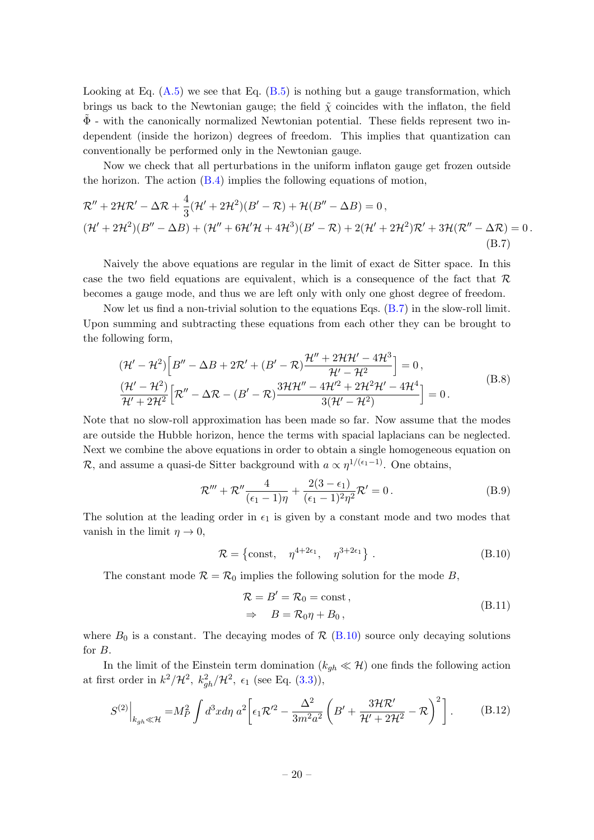Looking at Eq.  $(A.5)$  we see that Eq.  $(B.5)$  is nothing but a gauge transformation, which brings us back to the Newtonian gauge; the field  $\tilde{\chi}$  coincides with the inflaton, the field  $\Phi$  - with the canonically normalized Newtonian potential. These fields represent two independent (inside the horizon) degrees of freedom. This implies that quantization can conventionally be performed only in the Newtonian gauge.

Now we check that all perturbations in the uniform inflaton gauge get frozen outside the horizon. The action [\(B.4\)](#page-19-3) implies the following equations of motion,

<span id="page-20-0"></span>
$$
\mathcal{R}'' + 2\mathcal{H}\mathcal{R}' - \Delta\mathcal{R} + \frac{4}{3}(\mathcal{H}' + 2\mathcal{H}^2)(B' - \mathcal{R}) + \mathcal{H}(B'' - \Delta B) = 0,
$$
  

$$
(\mathcal{H}' + 2\mathcal{H}^2)(B'' - \Delta B) + (\mathcal{H}'' + 6\mathcal{H}'\mathcal{H} + 4\mathcal{H}^3)(B' - \mathcal{R}) + 2(\mathcal{H}' + 2\mathcal{H}^2)\mathcal{R}' + 3\mathcal{H}(\mathcal{R}'' - \Delta\mathcal{R}) = 0.
$$
  
(B.7)

Naively the above equations are regular in the limit of exact de Sitter space. In this case the two field equations are equivalent, which is a consequence of the fact that  $\mathcal R$ becomes a gauge mode, and thus we are left only with only one ghost degree of freedom.

Now let us find a non-trivial solution to the equations Eqs. [\(B.7\)](#page-20-0) in the slow-roll limit. Upon summing and subtracting these equations from each other they can be brought to the following form,

$$
(\mathcal{H}' - \mathcal{H}^2) \Big[ B'' - \Delta B + 2\mathcal{R}' + (B' - \mathcal{R}) \frac{\mathcal{H}'' + 2\mathcal{H}\mathcal{H}' - 4\mathcal{H}^3}{\mathcal{H}' - \mathcal{H}^2} \Big] = 0,
$$
  
\n
$$
\frac{(\mathcal{H}' - \mathcal{H}^2)}{\mathcal{H}' + 2\mathcal{H}^2} \Big[ \mathcal{R}'' - \Delta \mathcal{R} - (B' - \mathcal{R}) \frac{3\mathcal{H}\mathcal{H}'' - 4\mathcal{H}'^2 + 2\mathcal{H}^2\mathcal{H}' - 4\mathcal{H}^4}{3(\mathcal{H}' - \mathcal{H}^2)} \Big] = 0.
$$
\n(B.8)

Note that no slow-roll approximation has been made so far. Now assume that the modes are outside the Hubble horizon, hence the terms with spacial laplacians can be neglected. Next we combine the above equations in order to obtain a single homogeneous equation on R, and assume a quasi-de Sitter background with  $a \propto \eta^{1/(\epsilon_1 - 1)}$ . One obtains,

$$
\mathcal{R}''' + \mathcal{R}'' \frac{4}{(\epsilon_1 - 1)\eta} + \frac{2(3 - \epsilon_1)}{(\epsilon_1 - 1)^2 \eta^2} \mathcal{R}' = 0.
$$
 (B.9)

The solution at the leading order in  $\epsilon_1$  is given by a constant mode and two modes that vanish in the limit  $\eta \to 0$ ,

<span id="page-20-1"></span>
$$
\mathcal{R} = \left\{ \text{const}, \quad \eta^{4+2\epsilon_1}, \quad \eta^{3+2\epsilon_1} \right\}. \tag{B.10}
$$

<span id="page-20-2"></span>The constant mode  $\mathcal{R} = \mathcal{R}_0$  implies the following solution for the mode B,

$$
\mathcal{R} = B' = \mathcal{R}_0 = \text{const},
$$
  
\n
$$
\Rightarrow \quad B = \mathcal{R}_0 \eta + B_0,
$$
 (B.11)

where  $B_0$  is a constant. The decaying modes of  $\mathcal{R}$  [\(B.10\)](#page-20-1) source only decaying solutions for B.

In the limit of the Einstein term domination  $(k_{gh} \ll \mathcal{H})$  one finds the following action at first order in  $k^2/\mathcal{H}^2$ ,  $k_{gh}^2/\mathcal{H}^2$ ,  $\epsilon_1$  (see Eq. [\(3.3\)](#page-6-3)),

$$
S^{(2)}\Big|_{k_{gh}\ll \mathcal{H}} = M_P^2 \int d^3x d\eta \ a^2 \bigg[\epsilon_1 \mathcal{R}'^2 - \frac{\Delta^2}{3m^2 a^2} \left(B' + \frac{3\mathcal{H}\mathcal{R}'}{\mathcal{H}' + 2\mathcal{H}^2} - \mathcal{R}\right)^2\bigg].
$$
 (B.12)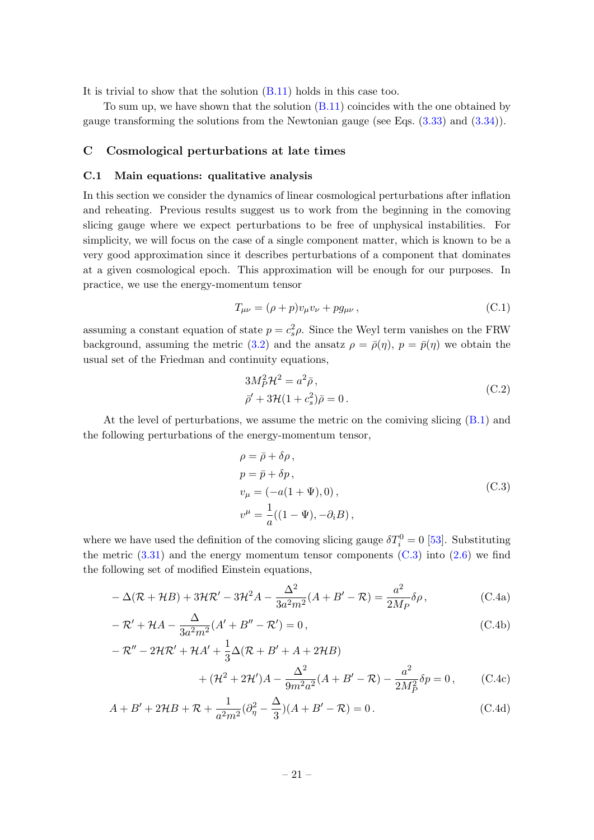It is trivial to show that the solution [\(B.11\)](#page-20-2) holds in this case too.

To sum up, we have shown that the solution [\(B.11\)](#page-20-2) coincides with the one obtained by gauge transforming the solutions from the Newtonian gauge (see Eqs. [\(3.33\)](#page-11-3) and [\(3.34\)](#page-11-5)).

### <span id="page-21-0"></span>C Cosmological perturbations at late times

#### <span id="page-21-1"></span>C.1 Main equations: qualitative analysis

In this section we consider the dynamics of linear cosmological perturbations after inflation and reheating. Previous results suggest us to work from the beginning in the comoving slicing gauge where we expect perturbations to be free of unphysical instabilities. For simplicity, we will focus on the case of a single component matter, which is known to be a very good approximation since it describes perturbations of a component that dominates at a given cosmological epoch. This approximation will be enough for our purposes. In practice, we use the energy-momentum tensor

$$
T_{\mu\nu} = (\rho + p)v_{\mu}v_{\nu} + pg_{\mu\nu}, \qquad (C.1)
$$

assuming a constant equation of state  $p = c_s^2 \rho$ . Since the Weyl term vanishes on the FRW background, assuming the metric [\(3.2\)](#page-6-1) and the ansatz  $\rho = \bar{\rho}(\eta)$ ,  $p = \bar{p}(\eta)$  we obtain the usual set of the Friedman and continuity equations,

$$
3M_P^2 \mathcal{H}^2 = a^2 \bar{\rho}, \n\bar{\rho}' + 3\mathcal{H}(1 + c_s^2)\bar{\rho} = 0.
$$
\n(C.2)

At the level of perturbations, we assume the metric on the comiving slicing [\(B.1\)](#page-19-1) and the following perturbations of the energy-momentum tensor,

<span id="page-21-3"></span>
$$
\rho = \bar{\rho} + \delta \rho,
$$
  
\n
$$
p = \bar{p} + \delta p,
$$
  
\n
$$
v_{\mu} = (-a(1 + \Psi), 0),
$$
  
\n
$$
v^{\mu} = \frac{1}{a}((1 - \Psi), -\partial_i B),
$$
\n(C.3)

<span id="page-21-2"></span>where we have used the definition of the comoving slicing gauge  $\delta T_i^0 = 0$  [\[53\]](#page-26-22). Substituting the metric  $(3.31)$  and the energy momentum tensor components  $(C.3)$  into  $(2.6)$  we find the following set of modified Einstein equations,

$$
-\Delta(\mathcal{R} + \mathcal{H}B) + 3\mathcal{H}\mathcal{R}' - 3\mathcal{H}^2A - \frac{\Delta^2}{3a^2m^2}(A + B' - \mathcal{R}) = \frac{a^2}{2M_P}\delta\rho,
$$
 (C.4a)

$$
-\mathcal{R}' + \mathcal{H}A - \frac{\Delta}{3a^2m^2}(A' + B'' - \mathcal{R}') = 0,
$$
\n(C.4b)

$$
- \mathcal{R}'' - 2\mathcal{H}\mathcal{R}' + \mathcal{H}A' + \frac{1}{3}\Delta(\mathcal{R} + B' + A + 2\mathcal{H}B) + (\mathcal{H}^2 + 2\mathcal{H}')A - \frac{\Delta^2}{9m^2a^2}(A + B' - \mathcal{R}) - \frac{a^2}{2M_P^2}\delta p = 0,
$$
 (C.4c)

$$
A + B' + 2\mathcal{H}B + \mathcal{R} + \frac{1}{a^2 m^2} (\partial_{\eta}^2 - \frac{\Delta}{3})(A + B' - \mathcal{R}) = 0.
$$
 (C.4d)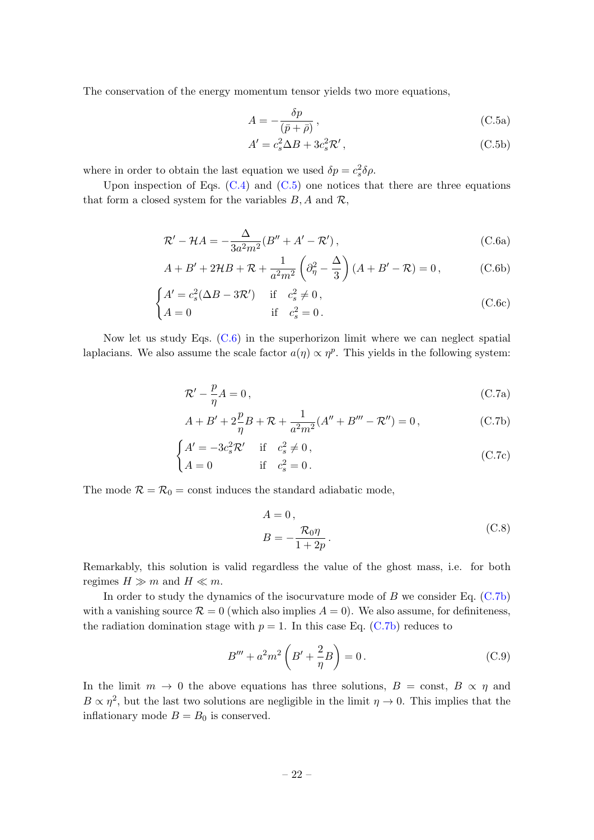The conservation of the energy momentum tensor yields two more equations,

<span id="page-22-0"></span>
$$
A = -\frac{\delta p}{(\bar{p} + \bar{\rho})},\tag{C.5a}
$$

$$
A' = c_s^2 \Delta B + 3c_s^2 \mathcal{R}',\tag{C.5b}
$$

where in order to obtain the last equation we used  $\delta p = c_s^2 \delta \rho$ .

<span id="page-22-1"></span>Upon inspection of Eqs.  $(C.4)$  and  $(C.5)$  one notices that there are three equations that form a closed system for the variables  $B, A$  and  $\mathcal{R},$ 

$$
\mathcal{R}' - \mathcal{H}A = -\frac{\Delta}{3a^2 m^2} (B'' + A' - \mathcal{R}'),
$$
\n(C.6a)

$$
A + B' + 2\mathcal{H}B + \mathcal{R} + \frac{1}{a^2 m^2} \left(\partial_\eta^2 - \frac{\Delta}{3}\right) (A + B' - \mathcal{R}) = 0, \qquad (C.6b)
$$

$$
\begin{cases}\nA' = c_s^2(\Delta B - 3\mathcal{R}') & \text{if } c_s^2 \neq 0, \\
A = 0 & \text{if } c_s^2 = 0.\n\end{cases}
$$
\n(C.6c)

Now let us study Eqs.  $(C.6)$  in the superhorizon limit where we can neglect spatial laplacians. We also assume the scale factor  $a(\eta) \propto \eta^p$ . This yields in the following system:

$$
\mathcal{R}' - \frac{p}{\eta}A = 0, \qquad (C.7a)
$$

$$
A + B' + 2\frac{p}{\eta}B + \mathcal{R} + \frac{1}{a^2m^2}(A'' + B''' - \mathcal{R}'') = 0,
$$
 (C.7b)

$$
\begin{cases}\nA' = -3c_s^2 \mathcal{R}' & \text{if } c_s^2 \neq 0, \\
A = 0 & \text{if } c_s^2 = 0.\n\end{cases}
$$
\n(C.7c)

The mode  $\mathcal{R} = \mathcal{R}_0$  = const induces the standard adiabatic mode,

<span id="page-22-2"></span>
$$
A = 0,
$$
  
\n
$$
B = -\frac{\mathcal{R}_0 \eta}{1 + 2p}.
$$
\n(C.8)

Remarkably, this solution is valid regardless the value of the ghost mass, i.e. for both regimes  $H \gg m$  and  $H \ll m$ .

In order to study the dynamics of the isocurvature mode of  $B$  we consider Eq. [\(C.7b\)](#page-22-2) with a vanishing source  $\mathcal{R} = 0$  (which also implies  $A = 0$ ). We also assume, for definiteness, the radiation domination stage with  $p = 1$ . In this case Eq. [\(C.7b\)](#page-22-2) reduces to

<span id="page-22-3"></span>
$$
B''' + a^2 m^2 \left( B' + \frac{2}{\eta} B \right) = 0.
$$
 (C.9)

In the limit  $m \to 0$  the above equations has three solutions,  $B = \text{const}$ ,  $B \propto \eta$  and  $B \propto \eta^2$ , but the last two solutions are negligible in the limit  $\eta \to 0$ . This implies that the inflationary mode  $B = B_0$  is conserved.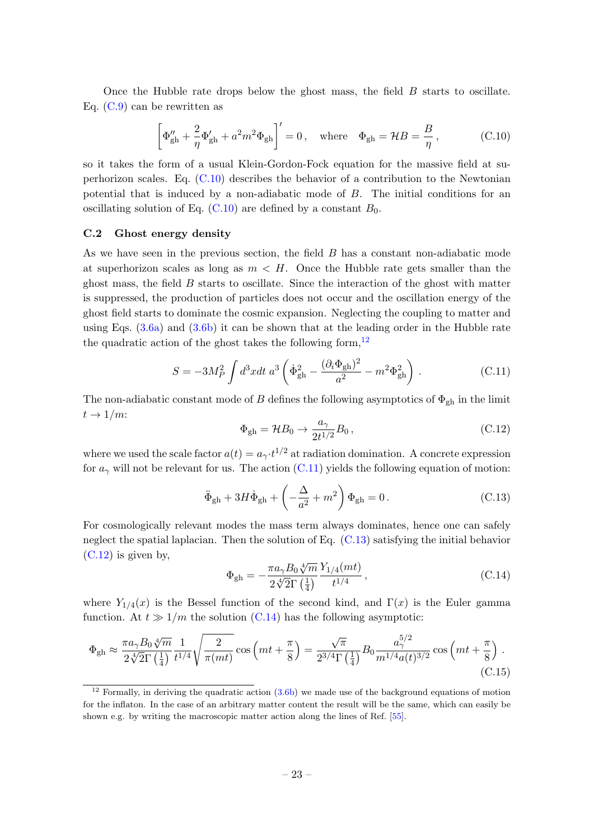Once the Hubble rate drops below the ghost mass, the field B starts to oscillate. Eq. [\(C.9\)](#page-22-3) can be rewritten as

<span id="page-23-1"></span>
$$
\left[\Phi''_{\text{gh}} + \frac{2}{\eta}\Phi'_{\text{gh}} + a^2 m^2 \Phi_{\text{gh}}\right]' = 0, \text{ where } \Phi_{\text{gh}} = \mathcal{H}B = \frac{B}{\eta},\tag{C.10}
$$

so it takes the form of a usual Klein-Gordon-Fock equation for the massive field at superhorizon scales. Eq. [\(C.10\)](#page-23-1) describes the behavior of a contribution to the Newtonian potential that is induced by a non-adiabatic mode of B. The initial conditions for an oscillating solution of Eq.  $(C.10)$  are defined by a constant  $B_0$ .

## <span id="page-23-0"></span>C.2 Ghost energy density

As we have seen in the previous section, the field B has a constant non-adiabatic mode at superhorizon scales as long as  $m < H$ . Once the Hubble rate gets smaller than the ghost mass, the field  $B$  starts to oscillate. Since the interaction of the ghost with matter is suppressed, the production of particles does not occur and the oscillation energy of the ghost field starts to dominate the cosmic expansion. Neglecting the coupling to matter and using Eqs. [\(3.6a\)](#page-7-3) and [\(3.6b\)](#page-7-4) it can be shown that at the leading order in the Hubble rate the quadratic action of the ghost takes the following form,  $12$ 

<span id="page-23-3"></span>
$$
S = -3M_P^2 \int d^3x \, dt \, a^3 \left( \dot{\Phi}_{\rm gh}^2 - \frac{(\partial_i \Phi_{\rm gh})^2}{a^2} - m^2 \Phi_{\rm gh}^2 \right) \,. \tag{C.11}
$$

The non-adiabatic constant mode of B defines the following asymptotics of  $\Phi_{gh}$  in the limit  $t \rightarrow 1/m$ :

<span id="page-23-5"></span>
$$
\Phi_{gh} = \mathcal{H}B_0 \to \frac{a_\gamma}{2t^{1/2}} B_0 , \qquad (C.12)
$$

where we used the scale factor  $a(t) = a_{\gamma} \cdot t^{1/2}$  at radiation domination. A concrete expression for  $a_{\gamma}$  will not be relevant for us. The action [\(C.11\)](#page-23-3) yields the following equation of motion:

<span id="page-23-4"></span>
$$
\ddot{\Phi}_{gh} + 3H\dot{\Phi}_{gh} + \left(-\frac{\Delta}{a^2} + m^2\right)\Phi_{gh} = 0.
$$
\n(C.13)

For cosmologically relevant modes the mass term always dominates, hence one can safely neglect the spatial laplacian. Then the solution of Eq. [\(C.13\)](#page-23-4) satisfying the initial behavior  $(C.12)$  is given by,

<span id="page-23-6"></span>
$$
\Phi_{gh} = -\frac{\pi a_{\gamma} B_0 \sqrt[4]{m}}{2 \sqrt[4]{2} \Gamma \left(\frac{1}{4}\right)} \frac{Y_{1/4}(mt)}{t^{1/4}},
$$
\n(C.14)

where  $Y_{1/4}(x)$  is the Bessel function of the second kind, and  $\Gamma(x)$  is the Euler gamma function. At  $t \gg 1/m$  the solution [\(C.14\)](#page-23-6) has the following asymptotic:

<span id="page-23-7"></span>
$$
\Phi_{gh} \approx \frac{\pi a_{\gamma} B_0 \sqrt[4]{m}}{2 \sqrt[4]{2} \Gamma(\frac{1}{4})} \frac{1}{t^{1/4}} \sqrt{\frac{2}{\pi (mt)}} \cos \left( mt + \frac{\pi}{8} \right) = \frac{\sqrt{\pi}}{2^{3/4} \Gamma(\frac{1}{4})} B_0 \frac{a_{\gamma}^{5/2}}{m^{1/4} a(t)^{3/2}} \cos \left( mt + \frac{\pi}{8} \right). \tag{C.15}
$$

<span id="page-23-2"></span> $12$  Formally, in deriving the quadratic action  $(3.6b)$  we made use of the background equations of motion for the inflaton. In the case of an arbitrary matter content the result will be the same, which can easily be shown e.g. by writing the macroscopic matter action along the lines of Ref. [\[55\]](#page-27-1).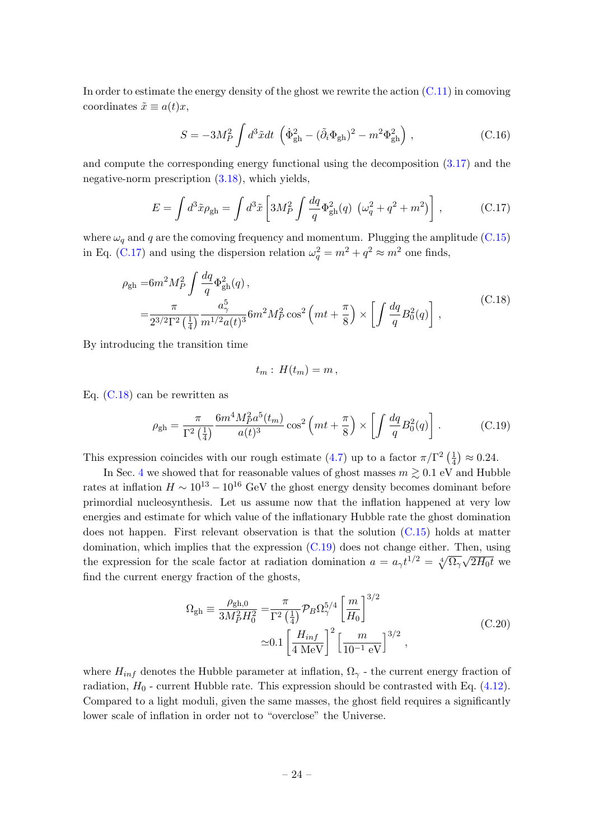In order to estimate the energy density of the ghost we rewrite the action  $(C.11)$  in comoving coordinates  $\tilde{x} \equiv a(t)x$ ,

$$
S = -3M_P^2 \int d^3 \tilde{x} dt \left( \dot{\Phi}_{gh}^2 - (\tilde{\partial}_i \Phi_{gh})^2 - m^2 \Phi_{gh}^2 \right), \qquad (C.16)
$$

and compute the corresponding energy functional using the decomposition [\(3.17\)](#page-9-4) and the negative-norm prescription [\(3.18\)](#page-9-6), which yields,

<span id="page-24-0"></span>
$$
E = \int d^3 \tilde{x} \rho_{gh} = \int d^3 \tilde{x} \left[ 3M_P^2 \int \frac{dq}{q} \Phi_{gh}^2(q) \left( \omega_q^2 + q^2 + m^2 \right) \right], \tag{C.17}
$$

where  $\omega_q$  and q are the comoving frequency and momentum. Plugging the amplitude [\(C.15\)](#page-23-7) in Eq. [\(C.17\)](#page-24-0) and using the dispersion relation  $\omega_q^2 = m^2 + q^2 \approx m^2$  one finds,

<span id="page-24-1"></span>
$$
\rho_{gh} = 6m^2 M_P^2 \int \frac{dq}{q} \Phi_{gh}^2(q) ,
$$
\n
$$
= \frac{\pi}{2^{3/2} \Gamma^2 \left(\frac{1}{4}\right)} \frac{a_\gamma^5}{m^{1/2} a(t)^3} 6m^2 M_P^2 \cos^2 \left(m t + \frac{\pi}{8}\right) \times \left[ \int \frac{dq}{q} B_0^2(q) \right] ,
$$
\n(C.18)

By introducing the transition time

$$
t_m: H(t_m)=m,
$$

<span id="page-24-2"></span>Eq. [\(C.18\)](#page-24-1) can be rewritten as

$$
\rho_{gh} = \frac{\pi}{\Gamma^2 \left(\frac{1}{4}\right)} \frac{6m^4 M_P^2 a^5(t_m)}{a(t)^3} \cos^2\left(mt + \frac{\pi}{8}\right) \times \left[\int \frac{dq}{q} B_0^2(q)\right]. \tag{C.19}
$$

This expression coincides with our rough estimate [\(4.7\)](#page-15-2) up to a factor  $\pi/\Gamma^2$  ( $\frac{1}{4}$ )  $(\frac{1}{4}) \approx 0.24.$ 

In Sec. [4](#page-13-0) we showed that for reasonable values of ghost masses  $m \gtrsim 0.1$  eV and Hubble rates at inflation  $H \sim 10^{13} - 10^{16}$  GeV the ghost energy density becomes dominant before primordial nucleosynthesis. Let us assume now that the inflation happened at very low energies and estimate for which value of the inflationary Hubble rate the ghost domination does not happen. First relevant observation is that the solution [\(C.15\)](#page-23-7) holds at matter domination, which implies that the expression [\(C.19\)](#page-24-2) does not change either. Then, using the expression for the scale factor at radiation domination  $a = a_{\gamma}t^{1/2} = \sqrt[4]{\Omega_{\gamma}}\sqrt{2H_0t}$  we find the current energy fraction of the ghosts,

$$
\Omega_{\rm gh} \equiv \frac{\rho_{\rm gh,0}}{3M_P^2 H_0^2} = \frac{\pi}{\Gamma^2 \left(\frac{1}{4}\right)} \mathcal{P}_B \Omega_\gamma^{5/4} \left[\frac{m}{H_0}\right]^{3/2} \n\approx 0.1 \left[\frac{H_{inf}}{4 \text{ MeV}}\right]^2 \left[\frac{m}{10^{-1} \text{ eV}}\right]^{3/2},
$$
\n(C.20)

where  $H_{inf}$  denotes the Hubble parameter at inflation,  $\Omega_{\gamma}$  - the current energy fraction of radiation,  $H_0$  - current Hubble rate. This expression should be contrasted with Eq.  $(4.12)$ . Compared to a light moduli, given the same masses, the ghost field requires a significantly lower scale of inflation in order not to "overclose" the Universe.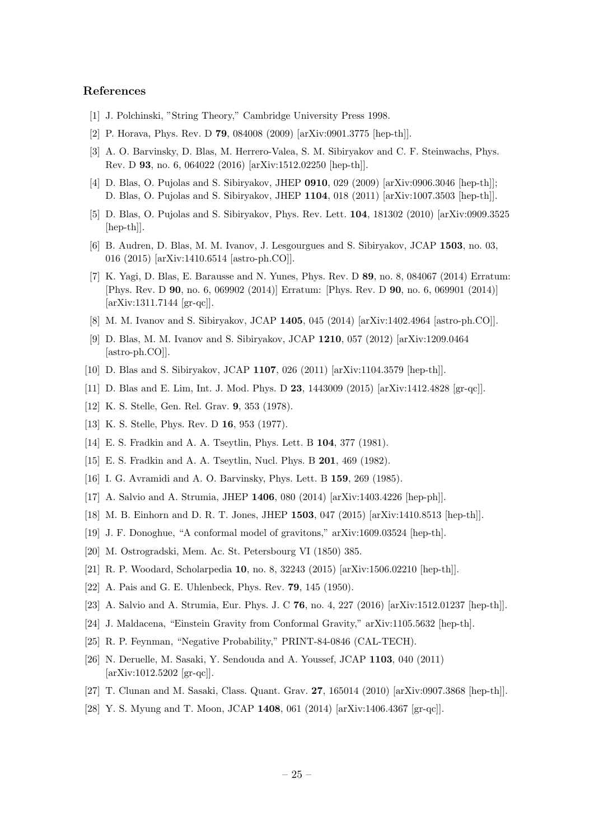## References

- <span id="page-25-0"></span>[1] J. Polchinski, "String Theory," Cambridge University Press 1998.
- <span id="page-25-1"></span>[2] P. Horava, Phys. Rev. D 79, 084008 (2009) [arXiv:0901.3775 [hep-th]].
- <span id="page-25-2"></span>[3] A. O. Barvinsky, D. Blas, M. Herrero-Valea, S. M. Sibiryakov and C. F. Steinwachs, Phys. Rev. D 93, no. 6, 064022 (2016) [arXiv:1512.02250 [hep-th]].
- <span id="page-25-3"></span>[4] D. Blas, O. Pujolas and S. Sibiryakov, JHEP 0910, 029 (2009) [arXiv:0906.3046 [hep-th]]; D. Blas, O. Pujolas and S. Sibiryakov, JHEP 1104, 018 (2011) [arXiv:1007.3503 [hep-th]].
- <span id="page-25-4"></span>[5] D. Blas, O. Pujolas and S. Sibiryakov, Phys. Rev. Lett. **104**, 181302 (2010) [arXiv:0909.3525 [hep-th]].
- <span id="page-25-5"></span>[6] B. Audren, D. Blas, M. M. Ivanov, J. Lesgourgues and S. Sibiryakov, JCAP 1503, no. 03, 016 (2015) [arXiv:1410.6514 [astro-ph.CO]].
- <span id="page-25-6"></span>[7] K. Yagi, D. Blas, E. Barausse and N. Yunes, Phys. Rev. D 89, no. 8, 084067 (2014) Erratum: [Phys. Rev. D 90, no. 6, 069902 (2014)] Erratum: [Phys. Rev. D 90, no. 6, 069901 (2014)] [arXiv:1311.7144 [gr-qc]].
- <span id="page-25-7"></span>[8] M. M. Ivanov and S. Sibiryakov, JCAP 1405, 045 (2014) [arXiv:1402.4964 [astro-ph.CO]].
- <span id="page-25-8"></span>[9] D. Blas, M. M. Ivanov and S. Sibiryakov, JCAP 1210, 057 (2012) [arXiv:1209.0464 [astro-ph.CO]].
- <span id="page-25-9"></span>[10] D. Blas and S. Sibiryakov, JCAP 1107, 026 (2011) [arXiv:1104.3579 [hep-th]].
- <span id="page-25-10"></span>[11] D. Blas and E. Lim, Int. J. Mod. Phys. D 23, 1443009 (2015) [arXiv:1412.4828 [gr-qc]].
- <span id="page-25-11"></span>[12] K. S. Stelle, Gen. Rel. Grav. 9, 353 (1978).
- <span id="page-25-12"></span>[13] K. S. Stelle, Phys. Rev. D **16**, 953 (1977).
- <span id="page-25-13"></span>[14] E. S. Fradkin and A. A. Tseytlin, Phys. Lett. B **104**, 377 (1981).
- [15] E. S. Fradkin and A. A. Tseytlin, Nucl. Phys. B **201**, 469 (1982).
- <span id="page-25-14"></span>[16] I. G. Avramidi and A. O. Barvinsky, Phys. Lett. B **159**, 269 (1985).
- <span id="page-25-15"></span>[17] A. Salvio and A. Strumia, JHEP 1406, 080 (2014) [arXiv:1403.4226 [hep-ph]].
- <span id="page-25-26"></span>[18] M. B. Einhorn and D. R. T. Jones, JHEP 1503, 047 (2015) [arXiv:1410.8513 [hep-th]].
- <span id="page-25-16"></span>[19] J. F. Donoghue, "A conformal model of gravitons," arXiv:1609.03524 [hep-th].
- <span id="page-25-17"></span>[20] M. Ostrogradski, Mem. Ac. St. Petersbourg VI (1850) 385.
- <span id="page-25-18"></span>[21] R. P. Woodard, Scholarpedia 10, no. 8, 32243 (2015) [arXiv:1506.02210 [hep-th]].
- <span id="page-25-19"></span>[22] A. Pais and G. E. Uhlenbeck, Phys. Rev. **79**, 145 (1950).
- <span id="page-25-20"></span>[23] A. Salvio and A. Strumia, Eur. Phys. J. C 76, no. 4, 227 (2016) [arXiv:1512.01237 [hep-th]].
- <span id="page-25-21"></span>[24] J. Maldacena, "Einstein Gravity from Conformal Gravity," arXiv:1105.5632 [hep-th].
- <span id="page-25-22"></span>[25] R. P. Feynman, "Negative Probability," PRINT-84-0846 (CAL-TECH).
- <span id="page-25-23"></span>[26] N. Deruelle, M. Sasaki, Y. Sendouda and A. Youssef, JCAP 1103, 040 (2011) [arXiv:1012.5202 [gr-qc]].
- <span id="page-25-24"></span>[27] T. Clunan and M. Sasaki, Class. Quant. Grav. 27, 165014 (2010) [arXiv:0907.3868 [hep-th]].
- <span id="page-25-25"></span>[28] Y. S. Myung and T. Moon, JCAP 1408, 061 (2014) [arXiv:1406.4367 [gr-qc]].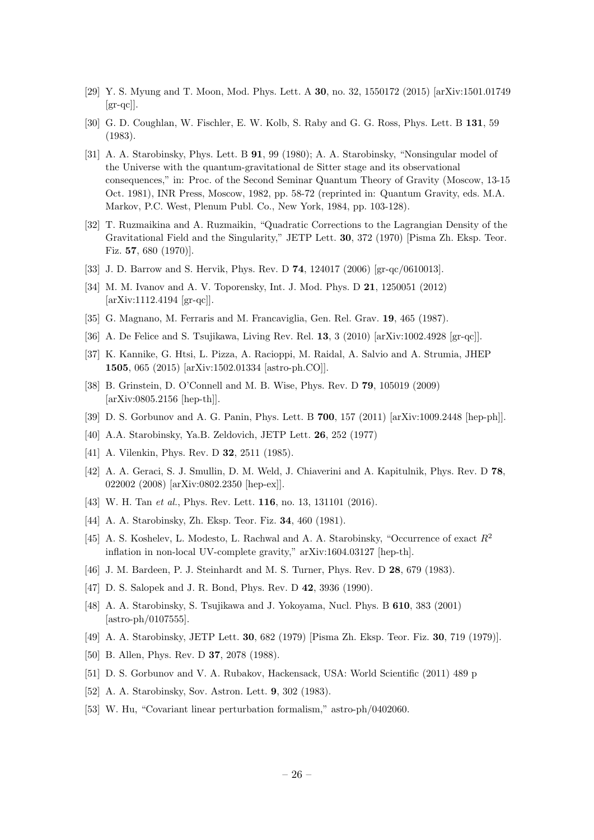- <span id="page-26-0"></span>[29] Y. S. Myung and T. Moon, Mod. Phys. Lett. A 30, no. 32, 1550172 (2015) [arXiv:1501.01749  $\left[\text{gr-qc}\right]$ .
- <span id="page-26-1"></span>[30] G. D. Coughlan, W. Fischler, E. W. Kolb, S. Raby and G. G. Ross, Phys. Lett. B 131, 59 (1983).
- <span id="page-26-2"></span>[31] A. A. Starobinsky, Phys. Lett. B 91, 99 (1980); A. A. Starobinsky, "Nonsingular model of the Universe with the quantum-gravitational de Sitter stage and its observational consequences," in: Proc. of the Second Seminar Quantum Theory of Gravity (Moscow, 13-15 Oct. 1981), INR Press, Moscow, 1982, pp. 58-72 (reprinted in: Quantum Gravity, eds. M.A. Markov, P.C. West, Plenum Publ. Co., New York, 1984, pp. 103-128).
- <span id="page-26-3"></span>[32] T. Ruzmaikina and A. Ruzmaikin, "Quadratic Corrections to the Lagrangian Density of the Gravitational Field and the Singularity," JETP Lett. 30, 372 (1970) [Pisma Zh. Eksp. Teor. Fiz. 57, 680 (1970)].
- [33] J. D. Barrow and S. Hervik, Phys. Rev. D 74, 124017 (2006) [gr-qc/0610013].
- <span id="page-26-4"></span>[34] M. M. Ivanov and A. V. Toporensky, Int. J. Mod. Phys. D 21, 1250051 (2012) [arXiv:1112.4194 [gr-qc]].
- <span id="page-26-5"></span>[35] G. Magnano, M. Ferraris and M. Francaviglia, Gen. Rel. Grav. 19, 465 (1987).
- <span id="page-26-8"></span>[36] A. De Felice and S. Tsujikawa, Living Rev. Rel. 13, 3 (2010) [arXiv:1002.4928 [gr-qc]].
- <span id="page-26-6"></span>[37] K. Kannike, G. Htsi, L. Pizza, A. Racioppi, M. Raidal, A. Salvio and A. Strumia, JHEP 1505, 065 (2015) [arXiv:1502.01334 [astro-ph.CO]].
- <span id="page-26-7"></span>[38] B. Grinstein, D. O'Connell and M. B. Wise, Phys. Rev. D 79, 105019 (2009) [arXiv:0805.2156 [hep-th]].
- <span id="page-26-9"></span>[39] D. S. Gorbunov and A. G. Panin, Phys. Lett. B 700, 157 (2011) [arXiv:1009.2448 [hep-ph]].
- <span id="page-26-10"></span>[40] A.A. Starobinsky, Ya.B. Zeldovich, JETP Lett. 26, 252 (1977)
- <span id="page-26-11"></span>[41] A. Vilenkin, Phys. Rev. D **32**, 2511 (1985).
- <span id="page-26-12"></span>[42] A. A. Geraci, S. J. Smullin, D. M. Weld, J. Chiaverini and A. Kapitulnik, Phys. Rev. D 78, 022002 (2008) [arXiv:0802.2350 [hep-ex]].
- <span id="page-26-13"></span>[43] W. H. Tan et al., Phys. Rev. Lett. **116**, no. 13, 131101 (2016).
- <span id="page-26-14"></span>[44] A. A. Starobinsky, Zh. Eksp. Teor. Fiz. **34**, 460 (1981).
- <span id="page-26-15"></span>[45] A. S. Koshelev, L. Modesto, L. Rachwal and A. A. Starobinsky, "Occurrence of exact  $R^2$ inflation in non-local UV-complete gravity," arXiv:1604.03127 [hep-th].
- <span id="page-26-16"></span>[46] J. M. Bardeen, P. J. Steinhardt and M. S. Turner, Phys. Rev. D 28, 679 (1983).
- <span id="page-26-17"></span>[47] D. S. Salopek and J. R. Bond, Phys. Rev. D 42, 3936 (1990).
- <span id="page-26-18"></span>[48] A. A. Starobinsky, S. Tsujikawa and J. Yokoyama, Nucl. Phys. B 610, 383 (2001) [astro-ph/0107555].
- <span id="page-26-19"></span>[49] A. A. Starobinsky, JETP Lett. 30, 682 (1979) [Pisma Zh. Eksp. Teor. Fiz. 30, 719 (1979)].
- [50] B. Allen, Phys. Rev. D **37**, 2078 (1988).
- <span id="page-26-20"></span>[51] D. S. Gorbunov and V. A. Rubakov, Hackensack, USA: World Scientific (2011) 489 p
- <span id="page-26-21"></span>[52] A. A. Starobinsky, Sov. Astron. Lett. **9**, 302 (1983).
- <span id="page-26-22"></span>[53] W. Hu, "Covariant linear perturbation formalism," astro-ph/0402060.